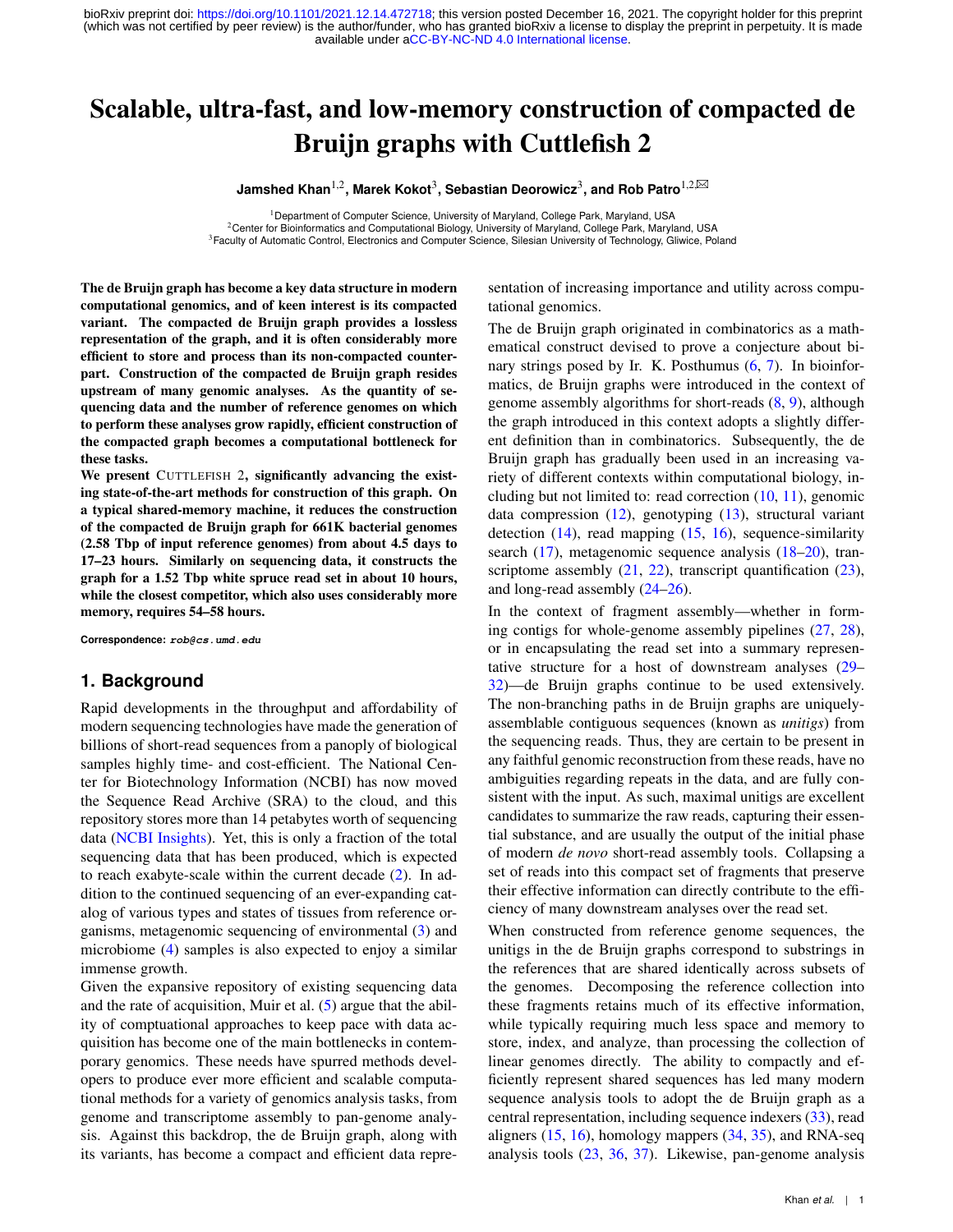# <span id="page-0-0"></span>Scalable, ultra-fast, and low-memory construction of compacted de Bruijn graphs with Cuttlefish 2

 $\mu$ Jamshed Khan<sup>1,2</sup>, Marek Kokot<sup>3</sup>, Sebastian Deorowicz<sup>3</sup>, and Rob Patro<sup>1,2,⊠</sup>

<sup>1</sup> Department of Computer Science, University of Maryland, College Park, Maryland, USA <sup>2</sup>Center for Bioinformatics and Computational Biology, University of Maryland, College Park, Maryland, USA <sup>3</sup> Faculty of Automatic Control, Electronics and Computer Science, Silesian University of Technology, Gliwice, Poland

The de Bruijn graph has become a key data structure in modern computational genomics, and of keen interest is its compacted variant. The compacted de Bruijn graph provides a lossless representation of the graph, and it is often considerably more efficient to store and process than its non-compacted counterpart. Construction of the compacted de Bruijn graph resides upstream of many genomic analyses. As the quantity of sequencing data and the number of reference genomes on which to perform these analyses grow rapidly, efficient construction of the compacted graph becomes a computational bottleneck for these tasks.

We present CUTTLEFISH 2, significantly advancing the existing state-of-the-art methods for construction of this graph. On a typical shared-memory machine, it reduces the construction of the compacted de Bruijn graph for 661K bacterial genomes (2.58 Tbp of input reference genomes) from about 4.5 days to 17–23 hours. Similarly on sequencing data, it constructs the graph for a 1.52 Tbp white spruce read set in about 10 hours, while the closest competitor, which also uses considerably more memory, requires 54–58 hours.

**Correspondence: rob@cs.umd.edu**

### **1. Background**

Rapid developments in the throughput and affordability of modern sequencing technologies have made the generation of billions of short-read sequences from a panoply of biological samples highly time- and cost-efficient. The National Center for Biotechnology Information (NCBI) has now moved the Sequence Read Archive (SRA) to the cloud, and this repository stores more than 14 petabytes worth of sequencing data [\(NCBI Insights\)](#page-16-0). Yet, this is only a fraction of the total sequencing data that has been produced, which is expected to reach exabyte-scale within the current decade [\(2\)](#page-16-1). In addition to the continued sequencing of an ever-expanding catalog of various types and states of tissues from reference organisms, metagenomic sequencing of environmental [\(3\)](#page-16-2) and microbiome [\(4\)](#page-16-3) samples is also expected to enjoy a similar immense growth.

Given the expansive repository of existing sequencing data and the rate of acquisition, Muir et al. [\(5\)](#page-16-4) argue that the ability of comptuational approaches to keep pace with data acquisition has become one of the main bottlenecks in contemporary genomics. These needs have spurred methods developers to produce ever more efficient and scalable computational methods for a variety of genomics analysis tasks, from genome and transcriptome assembly to pan-genome analysis. Against this backdrop, the de Bruijn graph, along with its variants, has become a compact and efficient data repre-

sentation of increasing importance and utility across computational genomics.

The de Bruijn graph originated in combinatorics as a mathematical construct devised to prove a conjecture about binary strings posed by Ir. K. Posthumus [\(6,](#page-16-5) [7\)](#page-16-6). In bioinformatics, de Bruijn graphs were introduced in the context of genome assembly algorithms for short-reads [\(8,](#page-16-7) [9\)](#page-16-8), although the graph introduced in this context adopts a slightly different definition than in combinatorics. Subsequently, the de Bruijn graph has gradually been used in an increasing variety of different contexts within computational biology, including but not limited to: read correction  $(10, 11)$  $(10, 11)$  $(10, 11)$ , genomic data compression [\(12\)](#page-16-11), genotyping [\(13\)](#page-16-12), structural variant detection [\(14\)](#page-16-13), read mapping [\(15,](#page-16-14) [16\)](#page-16-15), sequence-similarity search [\(17\)](#page-16-16), metagenomic sequence analysis [\(18](#page-16-17)[–20\)](#page-16-18), transcriptome assembly  $(21, 22)$  $(21, 22)$  $(21, 22)$ , transcript quantification  $(23)$ , and long-read assembly [\(24](#page-16-22)[–26\)](#page-16-23).

In the context of fragment assembly—whether in forming contigs for whole-genome assembly pipelines [\(27,](#page-16-24) [28\)](#page-16-25), or in encapsulating the read set into a summary representative structure for a host of downstream analyses [\(29–](#page-16-26) [32\)](#page-16-27)—de Bruijn graphs continue to be used extensively. The non-branching paths in de Bruijn graphs are uniquelyassemblable contiguous sequences (known as *unitigs*) from the sequencing reads. Thus, they are certain to be present in any faithful genomic reconstruction from these reads, have no ambiguities regarding repeats in the data, and are fully consistent with the input. As such, maximal unitigs are excellent candidates to summarize the raw reads, capturing their essential substance, and are usually the output of the initial phase of modern *de novo* short-read assembly tools. Collapsing a set of reads into this compact set of fragments that preserve their effective information can directly contribute to the efficiency of many downstream analyses over the read set.

When constructed from reference genome sequences, the unitigs in the de Bruijn graphs correspond to substrings in the references that are shared identically across subsets of the genomes. Decomposing the reference collection into these fragments retains much of its effective information, while typically requiring much less space and memory to store, index, and analyze, than processing the collection of linear genomes directly. The ability to compactly and efficiently represent shared sequences has led many modern sequence analysis tools to adopt the de Bruijn graph as a central representation, including sequence indexers [\(33\)](#page-16-28), read aligners  $(15, 16)$  $(15, 16)$  $(15, 16)$ , homology mappers  $(34, 35)$  $(34, 35)$  $(34, 35)$ , and RNA-seq analysis tools [\(23,](#page-16-21) [36,](#page-16-31) [37\)](#page-16-32). Likewise, pan-genome analysis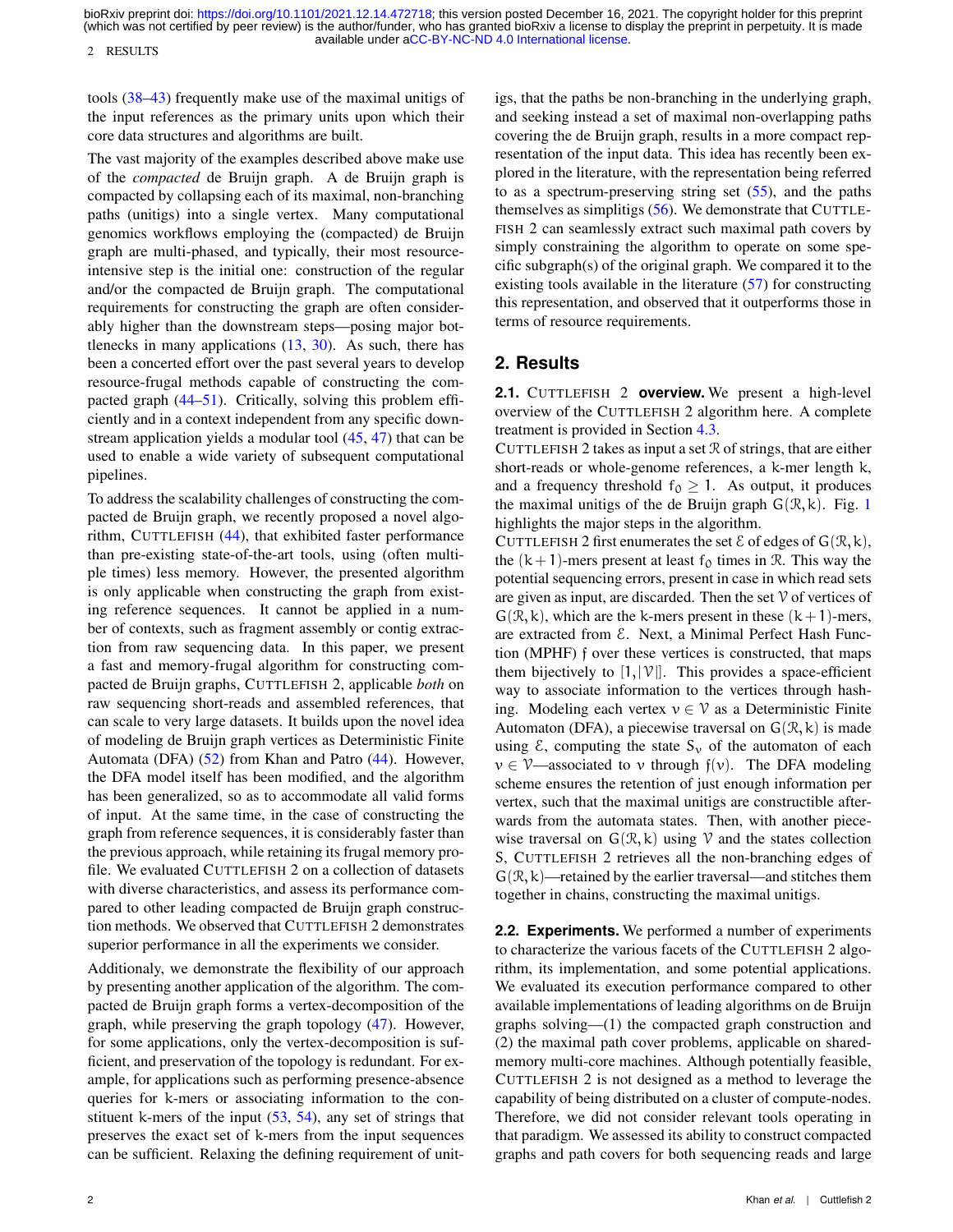2 RESULTS

tools [\(38–](#page-16-33)[43\)](#page-16-34) frequently make use of the maximal unitigs of the input references as the primary units upon which their core data structures and algorithms are built.

The vast majority of the examples described above make use of the *compacted* de Bruijn graph. A de Bruijn graph is compacted by collapsing each of its maximal, non-branching paths (unitigs) into a single vertex. Many computational genomics workflows employing the (compacted) de Bruijn graph are multi-phased, and typically, their most resourceintensive step is the initial one: construction of the regular and/or the compacted de Bruijn graph. The computational requirements for constructing the graph are often considerably higher than the downstream steps—posing major bottlenecks in many applications [\(13,](#page-16-12) [30\)](#page-16-35). As such, there has been a concerted effort over the past several years to develop resource-frugal methods capable of constructing the compacted graph [\(44](#page-16-36)[–51\)](#page-16-37). Critically, solving this problem efficiently and in a context independent from any specific downstream application yields a modular tool [\(45,](#page-16-38) [47\)](#page-16-39) that can be used to enable a wide variety of subsequent computational pipelines.

To address the scalability challenges of constructing the compacted de Bruijn graph, we recently proposed a novel algorithm, CUTTLEFISH [\(44\)](#page-16-36), that exhibited faster performance than pre-existing state-of-the-art tools, using (often multiple times) less memory. However, the presented algorithm is only applicable when constructing the graph from existing reference sequences. It cannot be applied in a number of contexts, such as fragment assembly or contig extraction from raw sequencing data. In this paper, we present a fast and memory-frugal algorithm for constructing compacted de Bruijn graphs, CUTTLEFISH 2, applicable *both* on raw sequencing short-reads and assembled references, that can scale to very large datasets. It builds upon the novel idea of modeling de Bruijn graph vertices as Deterministic Finite Automata (DFA) [\(52\)](#page-16-40) from Khan and Patro [\(44\)](#page-16-36). However, the DFA model itself has been modified, and the algorithm has been generalized, so as to accommodate all valid forms of input. At the same time, in the case of constructing the graph from reference sequences, it is considerably faster than the previous approach, while retaining its frugal memory profile. We evaluated CUTTLEFISH 2 on a collection of datasets with diverse characteristics, and assess its performance compared to other leading compacted de Bruijn graph construction methods. We observed that CUTTLEFISH 2 demonstrates superior performance in all the experiments we consider.

Additionaly, we demonstrate the flexibility of our approach by presenting another application of the algorithm. The compacted de Bruijn graph forms a vertex-decomposition of the graph, while preserving the graph topology [\(47\)](#page-16-39). However, for some applications, only the vertex-decomposition is sufficient, and preservation of the topology is redundant. For example, for applications such as performing presence-absence queries for k-mers or associating information to the constituent k-mers of the input  $(53, 54)$  $(53, 54)$  $(53, 54)$ , any set of strings that preserves the exact set of k-mers from the input sequences can be sufficient. Relaxing the defining requirement of unit-

igs, that the paths be non-branching in the underlying graph, and seeking instead a set of maximal non-overlapping paths covering the de Bruijn graph, results in a more compact representation of the input data. This idea has recently been explored in the literature, with the representation being referred to as a spectrum-preserving string set  $(55)$ , and the paths themselves as simplitigs [\(56\)](#page-17-1). We demonstrate that CUTTLE-FISH 2 can seamlessly extract such maximal path covers by simply constraining the algorithm to operate on some specific subgraph(s) of the original graph. We compared it to the existing tools available in the literature [\(57\)](#page-17-2) for constructing this representation, and observed that it outperforms those in terms of resource requirements.

### <span id="page-1-0"></span>**2. Results**

<span id="page-1-1"></span>**2.1.** CUTTLEFISH 2 **overview.** We present a high-level overview of the CUTTLEFISH 2 algorithm here. A complete treatment is provided in Section [4.3.](#page-9-0)

CUTTLEFISH 2 takes as input a set  $\mathcal R$  of strings, that are either short-reads or whole-genome references, a k-mer length k, and a frequency threshold  $f_0 \geq 1$ . As output, it produces the maximal unitigs of the de Bruijn graph  $G(\mathcal{R}, k)$ . Fig. [1](#page-2-0) highlights the major steps in the algorithm.

CUTTLEFISH 2 first enumerates the set  $\mathcal E$  of edges of  $G(\mathcal R, k)$ , the  $(k+1)$ -mers present at least  $f_0$  times in R. This way the potential sequencing errors, present in case in which read sets are given as input, are discarded. Then the set  $\mathcal V$  of vertices of  $G(\mathcal{R}, k)$ , which are the k-mers present in these  $(k+1)$ -mers, are extracted from  $\mathcal{E}$ . Next, a Minimal Perfect Hash Function (MPHF) f over these vertices is constructed, that maps them bijectively to  $[1,|\mathcal{V}|]$ . This provides a space-efficient way to associate information to the vertices through hashing. Modeling each vertex  $v \in V$  as a Deterministic Finite Automaton (DFA), a piecewise traversal on  $G(\mathcal{R}, k)$  is made using  $\mathcal{E}$ , computing the state  $S_{v}$  of the automaton of each  $v \in V$ —associated to v through  $f(v)$ . The DFA modeling scheme ensures the retention of just enough information per vertex, such that the maximal unitigs are constructible afterwards from the automata states. Then, with another piecewise traversal on  $G(\mathcal{R}, k)$  using  $\mathcal V$  and the states collection S, CUTTLEFISH 2 retrieves all the non-branching edges of  $G(\mathcal{R}, k)$ —retained by the earlier traversal—and stitches them together in chains, constructing the maximal unitigs.

**2.2. Experiments.** We performed a number of experiments to characterize the various facets of the CUTTLEFISH 2 algorithm, its implementation, and some potential applications. We evaluated its execution performance compared to other available implementations of leading algorithms on de Bruijn graphs solving—(1) the compacted graph construction and (2) the maximal path cover problems, applicable on sharedmemory multi-core machines. Although potentially feasible, CUTTLEFISH 2 is not designed as a method to leverage the capability of being distributed on a cluster of compute-nodes. Therefore, we did not consider relevant tools operating in that paradigm. We assessed its ability to construct compacted graphs and path covers for both sequencing reads and large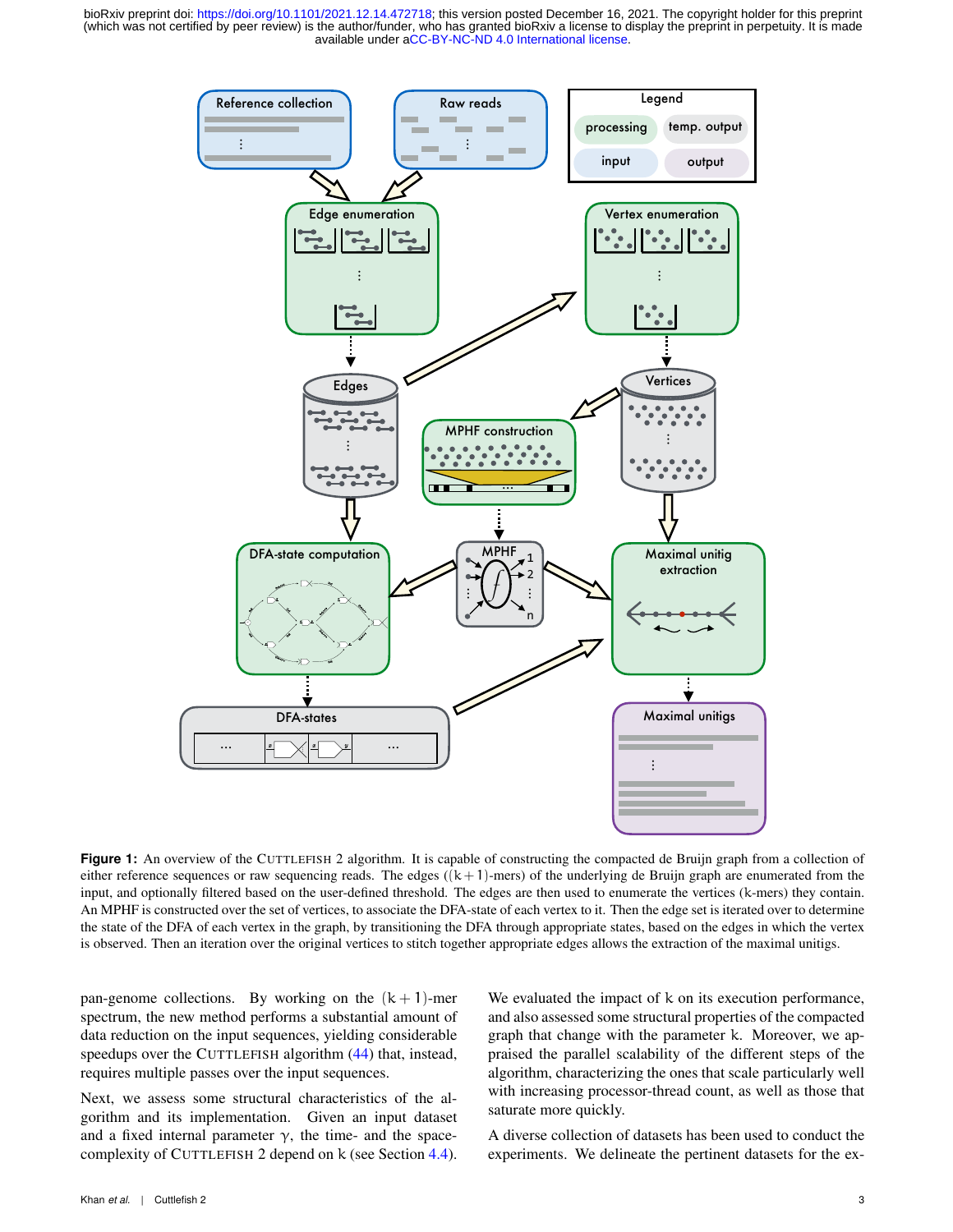<span id="page-2-0"></span>

**Figure 1:** An overview of the CUTTLEFISH 2 algorithm. It is capable of constructing the compacted de Bruijn graph from a collection of either reference sequences or raw sequencing reads. The edges  $((k + 1)$ -mers) of the underlying de Bruijn graph are enumerated from the input, and optionally filtered based on the user-defined threshold. The edges are then used to enumerate the vertices (k-mers) they contain. An MPHF is constructed over the set of vertices, to associate the DFA-state of each vertex to it. Then the edge set is iterated over to determine the state of the DFA of each vertex in the graph, by transitioning the DFA through appropriate states, based on the edges in which the vertex is observed. Then an iteration over the original vertices to stitch together appropriate edges allows the extraction of the maximal unitigs.

pan-genome collections. By working on the  $(k + 1)$ -mer spectrum, the new method performs a substantial amount of data reduction on the input sequences, yielding considerable speedups over the CUTTLEFISH algorithm [\(44\)](#page-16-36) that, instead, requires multiple passes over the input sequences.

Next, we assess some structural characteristics of the algorithm and its implementation. Given an input dataset and a fixed internal parameter  $\gamma$ , the time- and the spacecomplexity of CUTTLEFISH 2 depend on k (see Section [4.4\)](#page-14-0).

We evaluated the impact of k on its execution performance, and also assessed some structural properties of the compacted graph that change with the parameter k. Moreover, we appraised the parallel scalability of the different steps of the algorithm, characterizing the ones that scale particularly well with increasing processor-thread count, as well as those that saturate more quickly.

A diverse collection of datasets has been used to conduct the experiments. We delineate the pertinent datasets for the ex-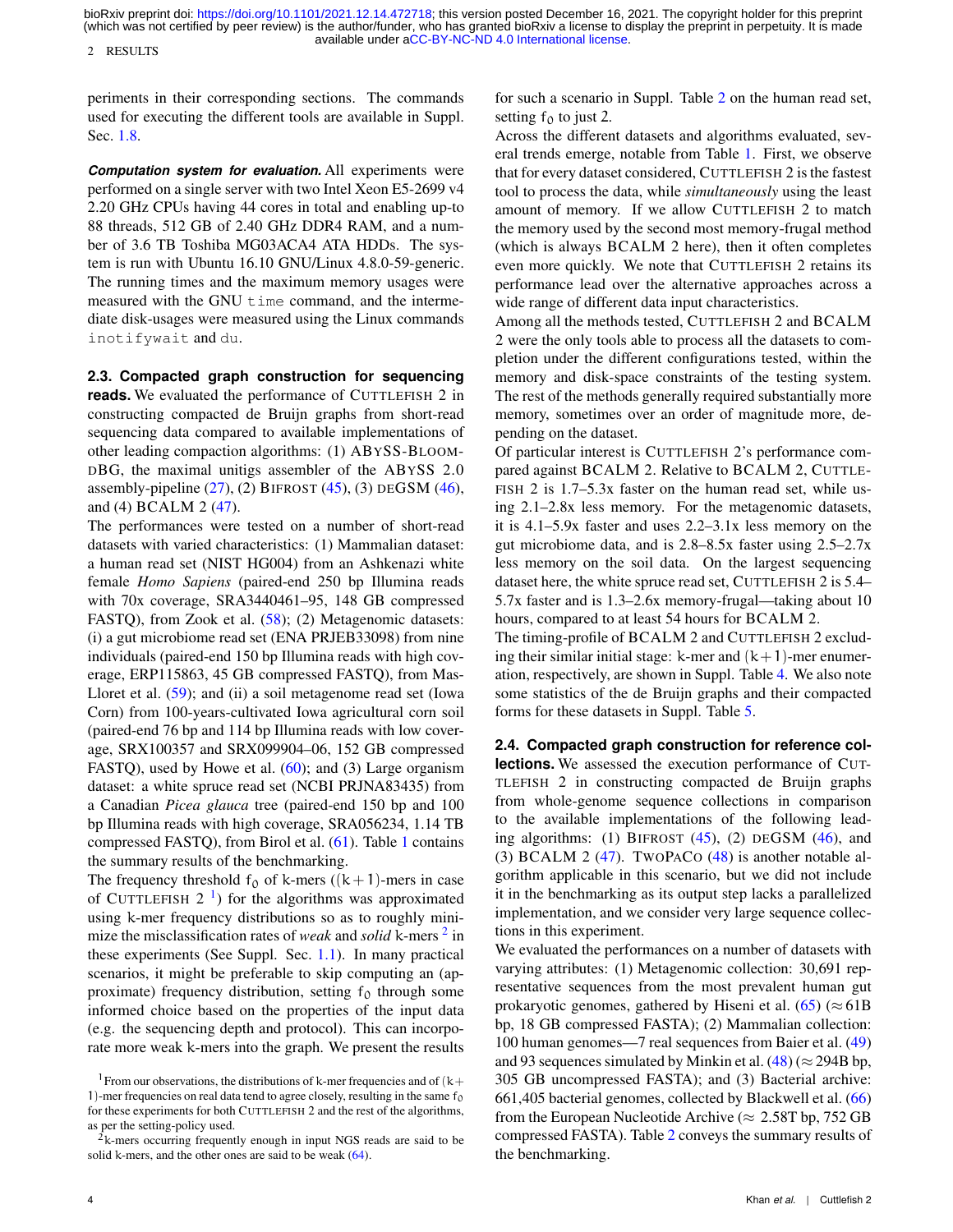2 RESULTS

periments in their corresponding sections. The commands used for executing the different tools are available in Suppl. Sec. [1.8.](#page-0-0)

*Computation system for evaluation.* All experiments were performed on a single server with two Intel Xeon E5-2699 v4 2.20 GHz CPUs having 44 cores in total and enabling up-to 88 threads, 512 GB of 2.40 GHz DDR4 RAM, and a number of 3.6 TB Toshiba MG03ACA4 ATA HDDs. The system is run with Ubuntu 16.10 GNU/Linux 4.8.0-59-generic. The running times and the maximum memory usages were measured with the GNU time command, and the intermediate disk-usages were measured using the Linux commands inotifywait and du.

**2.3. Compacted graph construction for sequencing reads.** We evaluated the performance of CUTTLEFISH 2 in constructing compacted de Bruijn graphs from short-read sequencing data compared to available implementations of other leading compaction algorithms: (1) ABYSS-BLOOM-DBG, the maximal unitigs assembler of the ABYSS 2.0 assembly-pipeline  $(27)$ ,  $(2)$  BIFROST  $(45)$ ,  $(3)$  DEGSM  $(46)$ , and (4) BCALM 2 [\(47\)](#page-16-39).

The performances were tested on a number of short-read datasets with varied characteristics: (1) Mammalian dataset: a human read set (NIST HG004) from an Ashkenazi white female *Homo Sapiens* (paired-end 250 bp Illumina reads with 70x coverage, SRA3440461–95, 148 GB compressed FASTQ), from Zook et al. [\(58\)](#page-17-3); (2) Metagenomic datasets: (i) a gut microbiome read set (ENA PRJEB33098) from nine individuals (paired-end 150 bp Illumina reads with high coverage, ERP115863, 45 GB compressed FASTQ), from Mas-Lloret et al. [\(59\)](#page-17-4); and (ii) a soil metagenome read set (Iowa Corn) from 100-years-cultivated Iowa agricultural corn soil (paired-end 76 bp and 114 bp Illumina reads with low coverage, SRX100357 and SRX099904–06, 152 GB compressed FASTQ), used by Howe et al. [\(60\)](#page-17-5); and (3) Large organism dataset: a white spruce read set (NCBI PRJNA83435) from a Canadian *Picea glauca* tree (paired-end 150 bp and 100 bp Illumina reads with high coverage, SRA056234, 1.14 TB compressed FASTQ), from Birol et al. [\(61\)](#page-17-6). Table [1](#page-4-0) contains the summary results of the benchmarking.

The frequency threshold  $f_0$  of k-mers ((k+1)-mers in case of CUTTLEFISH  $2<sup>1</sup>$  $2<sup>1</sup>$  $2<sup>1</sup>$ ) for the algorithms was approximated using k-mer frequency distributions so as to roughly minimize the misclassification rates of *weak* and *solid* k-mers <sup>[2](#page-3-1)</sup> in these experiments (See Suppl. Sec. [1.1\)](#page-0-0). In many practical scenarios, it might be preferable to skip computing an (approximate) frequency distribution, setting  $f_0$  through some informed choice based on the properties of the input data (e.g. the sequencing depth and protocol). This can incorporate more weak k-mers into the graph. We present the results

for such a scenario in Suppl. Table [2](#page-4-0) on the human read set, setting  $f_0$  to just 2.

Across the different datasets and algorithms evaluated, several trends emerge, notable from Table [1.](#page-4-0) First, we observe that for every dataset considered, CUTTLEFISH 2 is the fastest tool to process the data, while *simultaneously* using the least amount of memory. If we allow CUTTLEFISH 2 to match the memory used by the second most memory-frugal method (which is always BCALM 2 here), then it often completes even more quickly. We note that CUTTLEFISH 2 retains its performance lead over the alternative approaches across a wide range of different data input characteristics.

Among all the methods tested, CUTTLEFISH 2 and BCALM 2 were the only tools able to process all the datasets to completion under the different configurations tested, within the memory and disk-space constraints of the testing system. The rest of the methods generally required substantially more memory, sometimes over an order of magnitude more, depending on the dataset.

Of particular interest is CUTTLEFISH 2's performance compared against BCALM 2. Relative to BCALM 2, CUTTLE-FISH 2 is 1.7–5.3x faster on the human read set, while using 2.1–2.8x less memory. For the metagenomic datasets, it is 4.1–5.9x faster and uses 2.2–3.1x less memory on the gut microbiome data, and is 2.8–8.5x faster using 2.5–2.7x less memory on the soil data. On the largest sequencing dataset here, the white spruce read set, CUTTLEFISH 2 is 5.4– 5.7x faster and is 1.3–2.6x memory-frugal—taking about 10 hours, compared to at least 54 hours for BCALM 2.

The timing-profile of BCALM 2 and CUTTLEFISH 2 excluding their similar initial stage: k-mer and  $(k+1)$ -mer enumeration, respectively, are shown in Suppl. Table [4.](#page-6-0) We also note some statistics of the de Bruijn graphs and their compacted forms for these datasets in Suppl. Table [5.](#page-7-0)

**2.4. Compacted graph construction for reference col-**

**lections.** We assessed the execution performance of CUT-TLEFISH 2 in constructing compacted de Bruijn graphs from whole-genome sequence collections in comparison to the available implementations of the following leading algorithms: (1) BIFROST  $(45)$ ,  $(2)$  DEGSM  $(46)$ , and (3) BCALM 2  $(47)$ . TwoPACo  $(48)$  is another notable algorithm applicable in this scenario, but we did not include it in the benchmarking as its output step lacks a parallelized implementation, and we consider very large sequence collections in this experiment.

We evaluated the performances on a number of datasets with varying attributes: (1) Metagenomic collection: 30,691 representative sequences from the most prevalent human gut prokaryotic genomes, gathered by Hiseni et al. [\(65\)](#page-17-8) ( $\approx$  61B bp, 18 GB compressed FASTA); (2) Mammalian collection: 100 human genomes—7 real sequences from Baier et al. [\(49\)](#page-16-45) and 93 sequences simulated by Minkin et al.  $(48)$  ( $\approx$  294B bp, 305 GB uncompressed FASTA); and (3) Bacterial archive: 661,405 bacterial genomes, collected by Blackwell et al. [\(66\)](#page-17-9) from the European Nucleotide Archive ( $\approx 2.58$ T bp, 752 GB compressed FASTA). Table [2](#page-5-0) conveys the summary results of the benchmarking.

<span id="page-3-0"></span><sup>&</sup>lt;sup>1</sup> From our observations, the distributions of k-mer frequencies and of  $(k+$ 1)-mer frequencies on real data tend to agree closely, resulting in the same  $f_0$ for these experiments for both CUTTLEFISH 2 and the rest of the algorithms, as per the setting-policy used.

<span id="page-3-1"></span><sup>&</sup>lt;sup>2</sup>k-mers occurring frequently enough in input NGS reads are said to be solid k-mers, and the other ones are said to be weak  $(64)$ .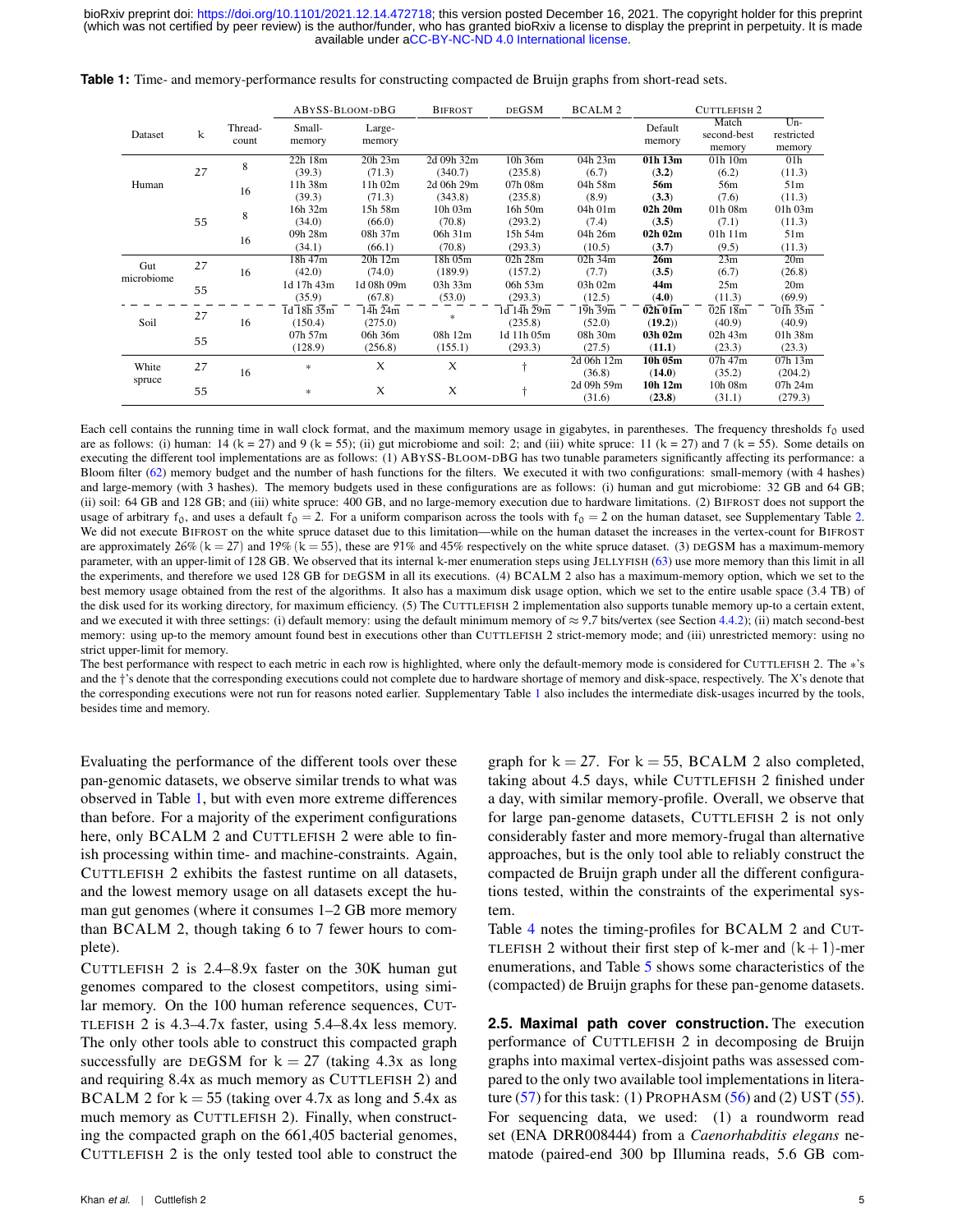|                   |    |         | ABYSS-BLOOM-DBG |              | <b>DEGSM</b><br><b>BIFROST</b> |            | BCALM 2    |             | <b>CUTTLEFISH 2</b>                   |                 |  |
|-------------------|----|---------|-----------------|--------------|--------------------------------|------------|------------|-------------|---------------------------------------|-----------------|--|
|                   |    | Thread- | Small-          | Large-       |                                |            |            | Default     | Match                                 | Un-             |  |
| Dataset           | k  | count   | memory          | memory       |                                |            |            | second-best | restricted                            |                 |  |
|                   |    |         |                 |              |                                |            |            | memory      | memory                                | memory          |  |
|                   |    | 8       | 22h 18m         | 20h 23m      | 2d 09h 32m                     | 10h 36m    | 04h 23m    | 01h 13m     | 01h 10m                               | 01 <sub>h</sub> |  |
|                   | 27 |         | (39.3)          | (71.3)       | (340.7)                        | (235.8)    | (6.7)      | (3.2)       | (6.2)                                 | (11.3)          |  |
| Human             |    | 16      | 11h 38m         | 11h 02m      | 2d 06h 29m                     | 07h 08m    | 04h 58m    | 56m         | 56m                                   | 51m             |  |
|                   |    |         | (39.3)          | (71.3)       | (343.8)                        | (235.8)    | (8.9)      | (3.3)       | (7.6)                                 | (11.3)          |  |
|                   |    | 8       | 16h 32m         | 15h 58m      | 10h 03m                        | 16h 50m    | 04h 01m    | 02h 20m     | 01h 08m                               | 01h 03m         |  |
|                   | 55 |         | (34.0)          | (66.0)       | (70.8)                         | (293.2)    | (7.4)      | (3.5)       | (7.1)                                 | (11.3)          |  |
|                   |    | 16      | 09h 28m         | 08h 37m      | 06h 31m                        | 15h 54m    | 04h 26m    | 02h 02m     | 01h 11m                               | 51m             |  |
|                   |    |         | (34.1)          | (66.1)       | (70.8)                         | (293.3)    | (10.5)     | (3.7)       | (9.5)                                 | (11.3)          |  |
| Gut<br>microbiome | 27 | 16      | 18h 47m         | $20h$ 12 $m$ | 18h 05m                        | 02h 28m    | 02h 34m    | 26m         | 23m                                   | 20 <sub>m</sub> |  |
|                   |    |         | (42.0)          | (74.0)       | (189.9)                        | (157.2)    | (7.7)      | (3.5)       | (6.7)                                 | (26.8)          |  |
|                   | 55 |         | 1d 17h 43m      | 1d 08h 09m   | 03h 33m                        | 06h 53m    | 03h 02m    | 44m         | 25m                                   | 20 <sub>m</sub> |  |
|                   |    |         | (35.9)          | (67.8)       | (53.0)                         | (293.3)    | (12.5)     | (4.0)       | (11.3)                                | (69.9)          |  |
|                   | 27 |         | 1d 18h 35m      | 14h 24m      |                                | 1d 14h 29m | 19h 39m    | 02h 01m     | 02h 18m                               | 01h 35m         |  |
| Soil              |    | 16      | (150.4)         | (275.0)      | $\ast$                         | (235.8)    | (52.0)     | (19.2)      | (40.9)                                | (40.9)          |  |
|                   | 55 |         | 07h 57m         | 06h 36m      | 08h 12m                        | 1d 11h 05m | 08h 30m    | 03h 02m     | 02h 43m                               | 01h 38m         |  |
|                   |    |         | (128.9)         | (256.8)      | (155.1)                        | (293.3)    | (27.5)     | (11.1)      | (23.3)                                | (23.3)          |  |
| White             | 27 |         |                 | X            | X                              |            | 2d 06h 12m | $10h$ $05m$ | 07h 47m                               | 07h 13m         |  |
|                   |    | 16      | $\ast$          |              |                                |            | (36.8)     | (14.0)      | (35.2)<br>10h 08m<br>(23.8)<br>(31.1) | (204.2)         |  |
| spruce            | 55 |         |                 | X            |                                |            | 2d 09h 59m | 10h 12m     |                                       | 07h 24m         |  |
|                   |    |         | $\ast$          |              | X                              |            | (31.6)     |             |                                       | (279.3)         |  |

<span id="page-4-0"></span>**Table 1:** Time- and memory-performance results for constructing compacted de Bruijn graphs from short-read sets.

Each cell contains the running time in wall clock format, and the maximum memory usage in gigabytes, in parentheses. The frequency thresholds  $f_0$  used are as follows: (i) human: 14 (k = 27) and 9 (k = 55); (ii) gut microbiome and soil: 2; and (iii) white spruce: 11 (k = 27) and 7 (k = 55). Some details on executing the different tool implementations are as follows: (1) ABYSS-BLOOM-DBG has two tunable parameters significantly affecting its performance: a Bloom filter [\(62\)](#page-17-10) memory budget and the number of hash functions for the filters. We executed it with two configurations: small-memory (with 4 hashes) and large-memory (with 3 hashes). The memory budgets used in these configurations are as follows: (i) human and gut microbiome: 32 GB and 64 GB; (ii) soil: 64 GB and 128 GB; and (iii) white spruce: 400 GB, and no large-memory execution due to hardware limitations. (2) BIFROST does not support the usage of arbitrary  $f_0$ , and uses a default  $f_0 = 2$ . For a uniform comparison across the tools with  $f_0 = 2$  on the human dataset, see Supplementary Table [2.](#page-4-0) We did not execute BIFROST on the white spruce dataset due to this limitation—while on the human dataset the increases in the vertex-count for BIFROST are approximately 26% (k = 27) and 19% (k = 55), these are 91% and 45% respectively on the white spruce dataset. (3) DEGSM has a maximum-memory parameter, with an upper-limit of 128 GB. We observed that its internal k-mer enumeration steps using JELLYFISH [\(63\)](#page-17-11) use more memory than this limit in all the experiments, and therefore we used 128 GB for DEGSM in all its executions. (4) BCALM 2 also has a maximum-memory option, which we set to the best memory usage obtained from the rest of the algorithms. It also has a maximum disk usage option, which we set to the entire usable space (3.4 TB) of the disk used for its working directory, for maximum efficiency. (5) The CUTTLEFISH 2 implementation also supports tunable memory up-to a certain extent, and we executed it with three settings: (i) default memory: using the default minimum memory of  $\approx$  9.7 bits/vertex (see Section [4.4.2\)](#page-15-0); (ii) match second-best memory: using up-to the memory amount found best in executions other than CUTTLEFISH 2 strict-memory mode; and (iii) unrestricted memory: using no strict upper-limit for memory.

The best performance with respect to each metric in each row is highlighted, where only the default-memory mode is considered for CUTTLEFISH 2. The \*'s and the †'s denote that the corresponding executions could not complete due to hardware shortage of memory and disk-space, respectively. The X's denote that the corresponding executions were not run for reasons noted earlier. Supplementary Table [1](#page-0-0) also includes the intermediate disk-usages incurred by the tools, besides time and memory.

Evaluating the performance of the different tools over these pan-genomic datasets, we observe similar trends to what was observed in Table [1,](#page-4-0) but with even more extreme differences than before. For a majority of the experiment configurations here, only BCALM 2 and CUTTLEFISH 2 were able to finish processing within time- and machine-constraints. Again, CUTTLEFISH 2 exhibits the fastest runtime on all datasets, and the lowest memory usage on all datasets except the human gut genomes (where it consumes 1–2 GB more memory than BCALM 2, though taking 6 to 7 fewer hours to complete).

CUTTLEFISH 2 is 2.4–8.9x faster on the 30K human gut genomes compared to the closest competitors, using similar memory. On the 100 human reference sequences, CUT-TLEFISH 2 is 4.3–4.7x faster, using 5.4–8.4x less memory. The only other tools able to construct this compacted graph successfully are DEGSM for  $k = 27$  (taking 4.3x as long and requiring 8.4x as much memory as CUTTLEFISH 2) and BCALM 2 for  $k = 55$  (taking over 4.7x as long and 5.4x as much memory as CUTTLEFISH 2). Finally, when constructing the compacted graph on the 661,405 bacterial genomes, CUTTLEFISH 2 is the only tested tool able to construct the

Khan *et al.* | Cuttlefish 2 5

graph for  $k = 27$ . For  $k = 55$ , BCALM 2 also completed, taking about 4.5 days, while CUTTLEFISH 2 finished under a day, with similar memory-profile. Overall, we observe that for large pan-genome datasets, CUTTLEFISH 2 is not only considerably faster and more memory-frugal than alternative approaches, but is the only tool able to reliably construct the compacted de Bruijn graph under all the different configurations tested, within the constraints of the experimental system.

Table [4](#page-6-0) notes the timing-profiles for BCALM 2 and CUT-TLEFISH 2 without their first step of k-mer and  $(k+1)$ -mer enumerations, and Table [5](#page-7-0) shows some characteristics of the (compacted) de Bruijn graphs for these pan-genome datasets.

**2.5. Maximal path cover construction.** The execution performance of CUTTLEFISH 2 in decomposing de Bruijn graphs into maximal vertex-disjoint paths was assessed compared to the only two available tool implementations in litera-ture [\(57\)](#page-17-2) for this task: (1) PROPHASM [\(56\)](#page-17-1) and (2) UST [\(55\)](#page-17-0). For sequencing data, we used: (1) a roundworm read set (ENA DRR008444) from a *Caenorhabditis elegans* nematode (paired-end 300 bp Illumina reads, 5.6 GB com-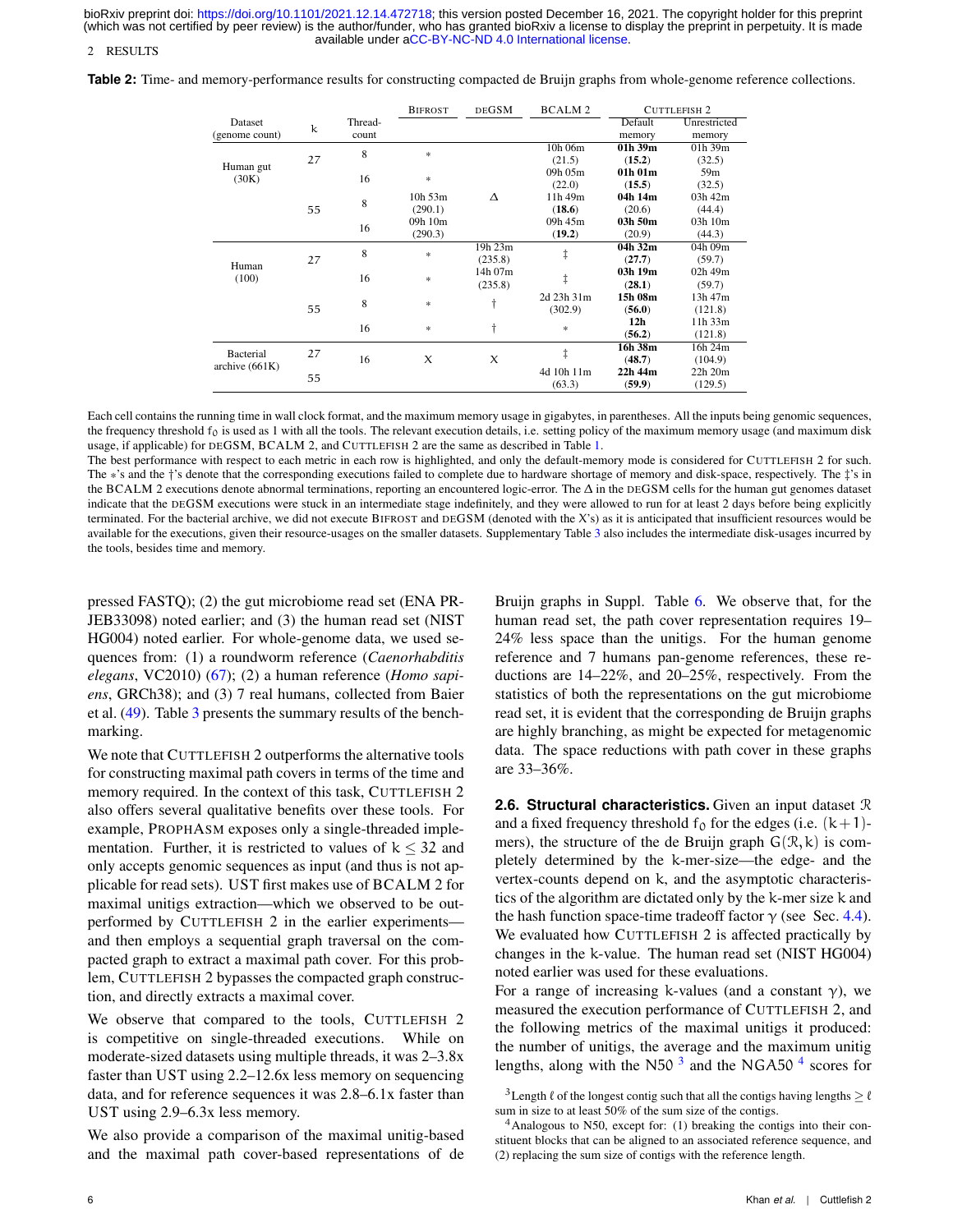2 RESULTS

<span id="page-5-0"></span>**Table 2:** Time- and memory-performance results for constructing compacted de Bruijn graphs from whole-genome reference collections.

|                  |    |         | <b>BIFROST</b>      | <b>DEGSM</b> | <b>BCALM2</b> |                 | <b>CUTTLEFISH 2</b> |
|------------------|----|---------|---------------------|--------------|---------------|-----------------|---------------------|
| Dataset          | k  | Thread- |                     |              |               | Default         | Unrestricted        |
| (genome count)   |    | count   |                     |              |               | memory          | memory              |
|                  |    | 8       | ×,                  |              | 10h 06m       | $01h$ 39m       | $01h$ 39m           |
|                  | 27 |         |                     |              | (21.5)        | (15.2)          | (32.5)              |
| Human gut        |    | 16      |                     |              | 09h 05m       | 01h 01m         | 59 <sub>m</sub>     |
| (30K)            |    |         | *                   |              | (22.0)        | (15.5)          | (32.5)              |
|                  |    |         | 10h 53m             | $\wedge$     | 11h 49m       | 04h 14m         | $03h$ 42m           |
|                  | 55 | 8       | (290.1)             |              | (18.6)        | (20.6)          | (44.4)              |
|                  |    |         | 09h 10m             |              | 09h 45m       | 03h 50m         | 03h 10m             |
|                  |    | 16      | (290.3)             |              | (19.2)        | (20.9)          | (44.3)              |
|                  |    | 8       |                     | 19h 23m      |               | 04h 32m         | 04h 09m             |
|                  | 27 |         | *                   | (235.8)      | ŧ             | (27.7)          | (59.7)              |
| Human            |    |         |                     | 14h 07m      |               | 03h 19m         | 02h 49m             |
| (100)            |    | 16      | *                   | (235.8)      | ŧ             | (28.1)          | (59.7)              |
|                  |    |         |                     |              | 2d 23h 31m    | 15h 08m         | 13h 47m             |
|                  | 55 | 8       | *                   | t            | (302.9)       | (56.0)          | (121.8)             |
|                  |    |         |                     |              |               | 12 <sub>h</sub> | $11h$ 33 $m$        |
|                  |    | 16      | *                   | t            | *             | (56.2)          | (121.8)             |
|                  |    |         |                     |              |               | 16h 38m         | 16h 24m             |
| Bacterial        | 27 | 16      | $\boldsymbol{\chi}$ | X            | ŧ             | (48.7)          | (104.9)             |
| archive $(661K)$ |    |         |                     |              | 4d 10h 11m    | 22h 44m         | 22h 20m             |
|                  | 55 |         |                     |              | (63.3)        | (59.9)          | (129.5)             |

Each cell contains the running time in wall clock format, and the maximum memory usage in gigabytes, in parentheses. All the inputs being genomic sequences, the frequency threshold  $f_0$  is used as 1 with all the tools. The relevant execution details, i.e. setting policy of the maximum memory usage (and maximum disk usage, if applicable) for DEGSM, BCALM 2, and CUTTLEFISH 2 are the same as described in Table [1.](#page-4-0)

The best performance with respect to each metric in each row is highlighted, and only the default-memory mode is considered for CUTTLEFISH 2 for such. The \*'s and the †'s denote that the corresponding executions failed to complete due to hardware shortage of memory and disk-space, respectively. The ‡'s in the BCALM 2 executions denote abnormal terminations, reporting an encountered logic-error. The ∆ in the DEGSM cells for the human gut genomes dataset indicate that the DEGSM executions were stuck in an intermediate stage indefinitely, and they were allowed to run for at least 2 days before being explicitly terminated. For the bacterial archive, we did not execute BIFROST and DEGSM (denoted with the X's) as it is anticipated that insufficient resources would be available for the executions, given their resource-usages on the smaller datasets. Supplementary Table [3](#page-5-0) also includes the intermediate disk-usages incurred by the tools, besides time and memory.

pressed FASTQ); (2) the gut microbiome read set (ENA PR-JEB33098) noted earlier; and (3) the human read set (NIST HG004) noted earlier. For whole-genome data, we used sequences from: (1) a roundworm reference (*Caenorhabditis elegans*, VC2010) [\(67\)](#page-17-12); (2) a human reference (*Homo sapiens*, GRCh38); and (3) 7 real humans, collected from Baier et al. [\(49\)](#page-16-45). Table [3](#page-6-0) presents the summary results of the benchmarking.

We note that CUTTLEFISH 2 outperforms the alternative tools for constructing maximal path covers in terms of the time and memory required. In the context of this task, CUTTLEFISH 2 also offers several qualitative benefits over these tools. For example, PROPHASM exposes only a single-threaded implementation. Further, it is restricted to values of  $k \leq 32$  and only accepts genomic sequences as input (and thus is not applicable for read sets). UST first makes use of BCALM 2 for maximal unitigs extraction—which we observed to be outperformed by CUTTLEFISH 2 in the earlier experiments and then employs a sequential graph traversal on the compacted graph to extract a maximal path cover. For this problem, CUTTLEFISH 2 bypasses the compacted graph construction, and directly extracts a maximal cover.

We observe that compared to the tools, CUTTLEFISH 2 is competitive on single-threaded executions. While on moderate-sized datasets using multiple threads, it was 2–3.8x faster than UST using 2.2–12.6x less memory on sequencing data, and for reference sequences it was 2.8–6.1x faster than UST using 2.9–6.3x less memory.

We also provide a comparison of the maximal unitig-based and the maximal path cover-based representations of de Bruijn graphs in Suppl. Table [6.](#page-0-0) We observe that, for the human read set, the path cover representation requires 19– 24% less space than the unitigs. For the human genome reference and 7 humans pan-genome references, these reductions are 14–22%, and 20–25%, respectively. From the statistics of both the representations on the gut microbiome read set, it is evident that the corresponding de Bruijn graphs are highly branching, as might be expected for metagenomic data. The space reductions with path cover in these graphs are 33–36%.

**2.6. Structural characteristics.** Given an input dataset R and a fixed frequency threshold  $f_0$  for the edges (i.e.  $(k+1)$ mers), the structure of the de Bruijn graph  $G(\mathcal{R}, k)$  is completely determined by the k-mer-size—the edge- and the vertex-counts depend on k, and the asymptotic characteristics of the algorithm are dictated only by the k-mer size k and the hash function space-time tradeoff factor  $\gamma$  (see Sec. [4.4\)](#page-14-0). We evaluated how CUTTLEFISH 2 is affected practically by changes in the k-value. The human read set (NIST HG004) noted earlier was used for these evaluations.

For a range of increasing k-values (and a constant  $\gamma$ ), we measured the execution performance of CUTTLEFISH 2, and the following metrics of the maximal unitigs it produced: the number of unitigs, the average and the maximum unitig lengths, along with the N50<sup>[3](#page-5-1)</sup> and the NGA50<sup>[4](#page-5-2)</sup> scores for

<span id="page-5-1"></span><sup>&</sup>lt;sup>3</sup>Length  $\ell$  of the longest contig such that all the contigs having lengths  $\geq \ell$ sum in size to at least 50% of the sum size of the contigs.

<span id="page-5-2"></span> $4$ Analogous to N50, except for: (1) breaking the contigs into their constituent blocks that can be aligned to an associated reference sequence, and (2) replacing the sum size of contigs with the reference length.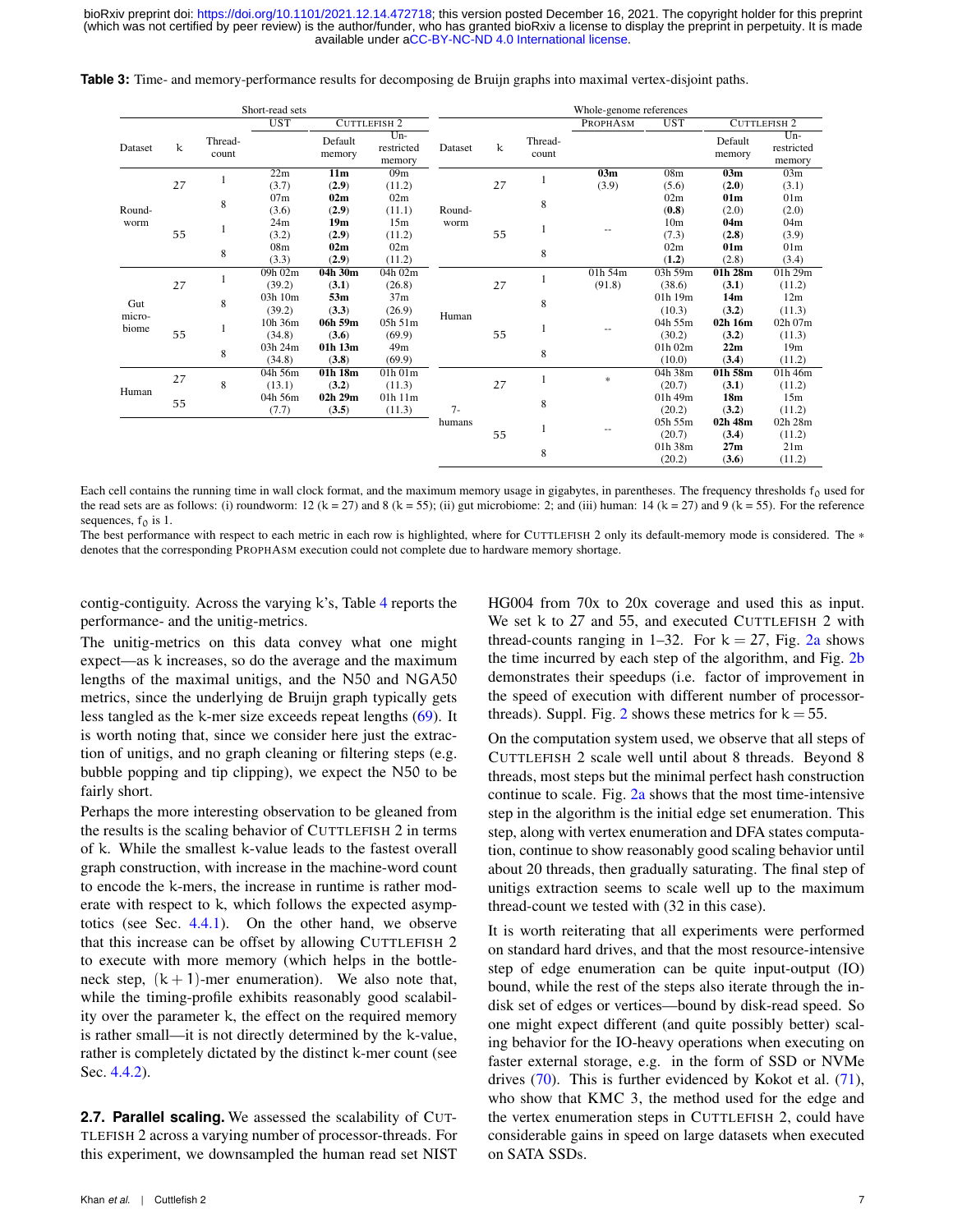<span id="page-6-0"></span>

|  |  |  |  | <b>Table 3:</b> Time- and memory-performance results for decomposing de Bruijn graphs into maximal vertex-disjoint paths. |  |
|--|--|--|--|---------------------------------------------------------------------------------------------------------------------------|--|
|  |  |  |  |                                                                                                                           |  |

|               |                                   |                  | Short-read sets |                   |                               |         |    |                  | Whole-genome references |                                                  |                     |                               |
|---------------|-----------------------------------|------------------|-----------------|-------------------|-------------------------------|---------|----|------------------|-------------------------|--------------------------------------------------|---------------------|-------------------------------|
|               | <b>UST</b><br><b>CUTTLEFISH 2</b> |                  |                 |                   |                               |         |    | PROPHASM         | <b>UST</b>              |                                                  | <b>CUTTLEFISH 2</b> |                               |
| Dataset       | k                                 | Thread-<br>count |                 | Default<br>memory | $Um-$<br>restricted<br>memory | Dataset | k  | Thread-<br>count |                         |                                                  | Default<br>memory   | $Um-$<br>restricted<br>memory |
|               |                                   |                  | 22m             | 11m               | 09m                           | Round-  |    |                  | 03m                     | 08 <sub>m</sub>                                  | 03m                 | 03m                           |
|               | 27                                |                  | (3.7)           | (2.9)             | (11.2)                        |         | 27 |                  | (3.9)                   | (5.6)                                            | (2.0)               | (3.1)                         |
|               |                                   |                  | 07m             | 02m               | 02m                           |         |    | 8                |                         | 02m                                              | 01 <sub>m</sub>     | 01 <sub>m</sub>               |
| Round-        |                                   | 8                | (3.6)           | (2.9)             | (11.1)                        |         |    |                  |                         | (0.8)                                            | (2.0)               | (2.0)                         |
| worm          |                                   |                  | 24m             | 19m               | 15m                           | worm    |    |                  |                         | 10 <sub>m</sub>                                  | 04m                 | 04m                           |
|               | 55                                |                  | (3.2)           | (2.9)             | (11.2)                        |         | 55 |                  |                         | (7.3)                                            | (2.8)               | (3.9)                         |
|               |                                   | 8                | 08m             | 02m               | 02m                           |         |    | 8                |                         | 02m<br>(1.2)<br>03h 59m                          | 01 <sub>m</sub>     | 01 <sub>m</sub>               |
|               |                                   |                  | (3.3)           | (2.9)             | (11.2)                        |         |    |                  |                         |                                                  | (2.8)               | (3.4)                         |
| Gut<br>micro- |                                   | 8                | 09h 02m         | 04h 30m           | 04h 02m                       |         |    |                  | $01h\,54m$              | (38.6)<br>(3.1)<br>14m<br>$01h$ 19 $m$<br>(10.3) | 01h 28m             | 01h 29m                       |
|               | 27                                |                  | (39.2)          | (3.1)             | (26.8)                        |         | 27 |                  | (91.8)                  |                                                  |                     | (11.2)                        |
|               |                                   |                  | 03h 10m         | 53m               | 37m                           |         |    | 8                |                         |                                                  |                     | 12m                           |
|               |                                   |                  | (39.2)          | (3.3)             | (26.9)                        | Human   |    |                  |                         |                                                  | (3.2)               | (11.3)                        |
| biome         |                                   |                  | 10h 36m         | 06h 59m           | 05h 51m                       |         |    |                  |                         | 04h 55m                                          | 02h 16m             | 02h 07m                       |
|               | 55                                |                  | (34.8)          | (3.6)             | (69.9)                        |         | 55 |                  |                         | (30.2)                                           | (3.2)               | (11.3)                        |
|               |                                   | 8                | 03h 24m         | 01h 13m           | 49m                           |         |    | 8                |                         | $01h$ $02m$                                      | 22m                 | 19 <sub>m</sub>               |
|               |                                   |                  | (34.8)          | (3.8)             | (69.9)                        |         |    |                  |                         | (10.0)                                           | (3.4)               | (11.2)                        |
|               | 27                                |                  | 04h 56m         | 01h 18m           | 01h01m                        |         |    |                  | $\ast$                  | 04h 38m                                          | 01h 58m             | $01h$ 46m                     |
| Human         |                                   | 8                | (13.1)          | (3.2)             | (11.3)                        |         | 27 |                  |                         | (20.7)                                           | (3.1)               | (11.2)                        |
|               | 55                                |                  | 04h 56m         | 02h 29m           | 01h 11m                       |         |    | 8                |                         | 01h 49m                                          | 18 <sub>m</sub>     | 15m                           |
|               |                                   |                  | (7.7)           | (3.5)             | (11.3)                        | $7 -$   |    |                  |                         | (20.2)                                           | (3.2)               | (11.2)                        |
|               |                                   |                  |                 |                   |                               | humans  |    |                  |                         | 05h 55m                                          | 02h 48m             | 02h 28m                       |
|               |                                   |                  |                 |                   |                               |         | 55 |                  |                         | (20.7)                                           | (3.4)               | (11.2)                        |
|               |                                   |                  |                 |                   |                               |         |    | 8                |                         | 01h 38m                                          | 27m                 | 21m                           |
|               |                                   |                  |                 |                   |                               |         |    |                  |                         | (20.2)                                           | (3.6)               | (11.2)                        |

Each cell contains the running time in wall clock format, and the maximum memory usage in gigabytes, in parentheses. The frequency thresholds  $f_0$  used for the read sets are as follows: (i) roundworm: 12 (k = 27) and 8 (k = 55); (ii) gut microbiome: 2; and (iii) human: 14 (k = 27) and 9 (k = 55). For the reference sequences,  $f_0$  is 1.

The best performance with respect to each metric in each row is highlighted, where for CUTTLEFISH 2 only its default-memory mode is considered. The \* denotes that the corresponding PROPHASM execution could not complete due to hardware memory shortage.

contig-contiguity. Across the varying k's, Table  $4$  reports the performance- and the unitig-metrics.

The unitig-metrics on this data convey what one might expect—as k increases, so do the average and the maximum lengths of the maximal unitigs, and the N50 and NGA50 metrics, since the underlying de Bruijn graph typically gets less tangled as the k-mer size exceeds repeat lengths [\(69\)](#page-17-13). It is worth noting that, since we consider here just the extraction of unitigs, and no graph cleaning or filtering steps (e.g. bubble popping and tip clipping), we expect the N50 to be fairly short.

Perhaps the more interesting observation to be gleaned from the results is the scaling behavior of CUTTLEFISH 2 in terms of k. While the smallest k-value leads to the fastest overall graph construction, with increase in the machine-word count to encode the k-mers, the increase in runtime is rather moderate with respect to k, which follows the expected asymptotics (see Sec. [4.4.1\)](#page-14-1). On the other hand, we observe that this increase can be offset by allowing CUTTLEFISH 2 to execute with more memory (which helps in the bottleneck step,  $(k + 1)$ -mer enumeration). We also note that, while the timing-profile exhibits reasonably good scalability over the parameter k, the effect on the required memory is rather small—it is not directly determined by the k-value, rather is completely dictated by the distinct k-mer count (see Sec. [4.4.2\)](#page-15-0).

**2.7. Parallel scaling.** We assessed the scalability of CUT-TLEFISH 2 across a varying number of processor-threads. For this experiment, we downsampled the human read set NIST HG004 from 70x to 20x coverage and used this as input. We set k to 27 and 55, and executed CUTTLEFISH 2 with thread-counts ranging in 1–32. For  $k = 27$ , Fig. [2a](#page-7-1) shows the time incurred by each step of the algorithm, and Fig. [2b](#page-7-1) demonstrates their speedups (i.e. factor of improvement in the speed of execution with different number of processor-threads). Suppl. Fig. [2](#page-10-0) shows these metrics for  $k = 55$ .

On the computation system used, we observe that all steps of CUTTLEFISH 2 scale well until about 8 threads. Beyond 8 threads, most steps but the minimal perfect hash construction continue to scale. Fig.  $2a$  shows that the most time-intensive step in the algorithm is the initial edge set enumeration. This step, along with vertex enumeration and DFA states computation, continue to show reasonably good scaling behavior until about 20 threads, then gradually saturating. The final step of unitigs extraction seems to scale well up to the maximum thread-count we tested with (32 in this case).

<span id="page-6-1"></span>It is worth reiterating that all experiments were performed on standard hard drives, and that the most resource-intensive step of edge enumeration can be quite input-output (IO) bound, while the rest of the steps also iterate through the indisk set of edges or vertices—bound by disk-read speed. So one might expect different (and quite possibly better) scaling behavior for the IO-heavy operations when executing on faster external storage, e.g. in the form of SSD or NVMe drives [\(70\)](#page-17-14). This is further evidenced by Kokot et al. [\(71\)](#page-17-15), who show that KMC 3, the method used for the edge and the vertex enumeration steps in CUTTLEFISH 2, could have considerable gains in speed on large datasets when executed on SATA SSDs.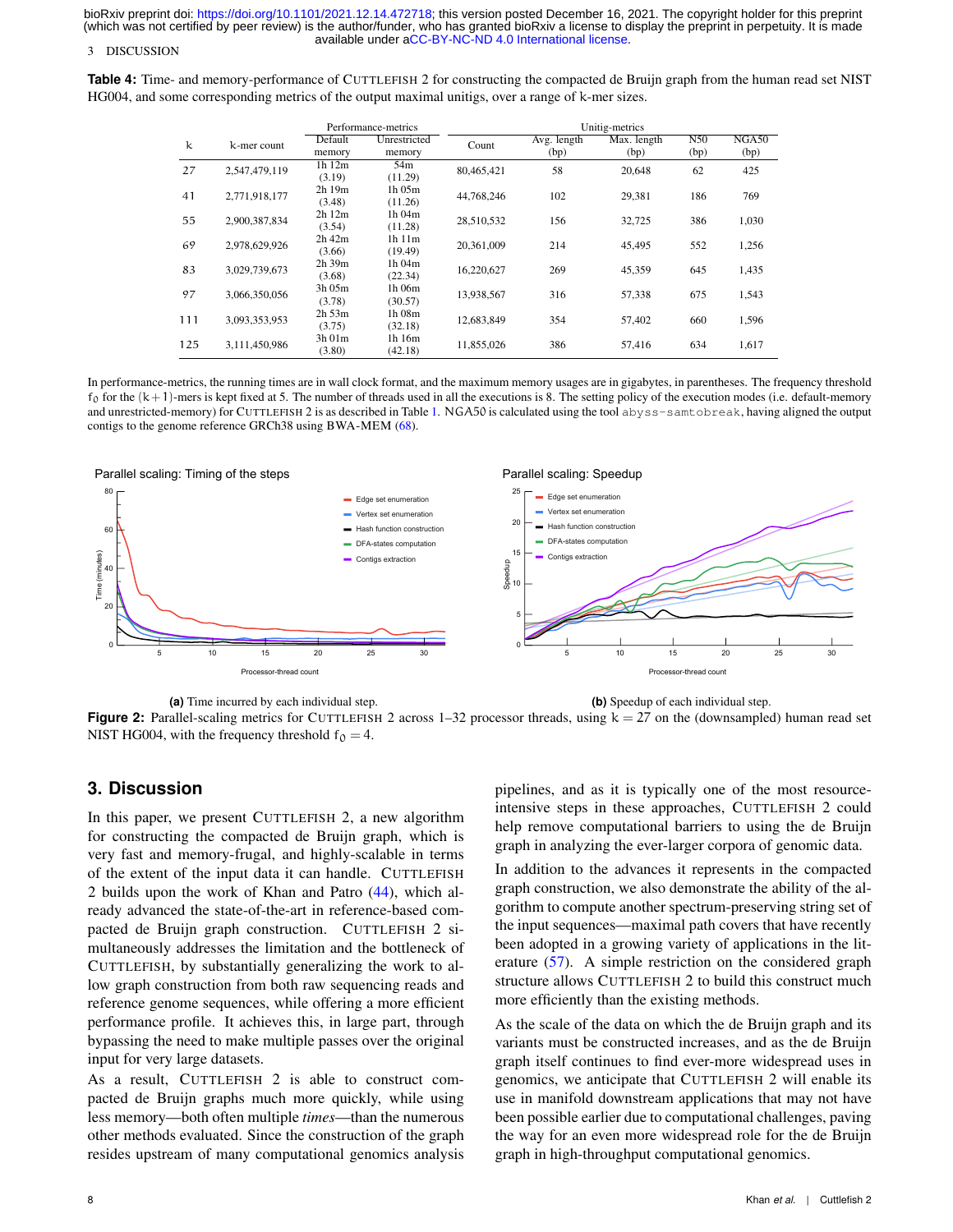### 3 DISCUSSION

<span id="page-7-0"></span>**Table 4:** Time- and memory-performance of CUTTLEFISH 2 for constructing the compacted de Bruijn graph from the human read set NIST HG004, and some corresponding metrics of the output maximal unitigs, over a range of k-mer sizes.

|     |               |             | Performance-metrics | Unitig-metrics |             |             |      |       |  |  |
|-----|---------------|-------------|---------------------|----------------|-------------|-------------|------|-------|--|--|
| k   | k-mer count   | Default     | Unrestricted        | Count          | Avg. length | Max. length | N50  | NGA50 |  |  |
|     |               | memory      | memory              |                | (bp)        | (bp)        | (bp) | (bp)  |  |  |
| 27  | 2,547,479,119 | $1h$ $12m$  | 54m                 | 80,465,421     | 58          | 20,648      | 62   | 425   |  |  |
|     |               | (3.19)      | (11.29)             |                |             |             |      |       |  |  |
| 41  | 2,771,918,177 | 2h19m       | 1h 05m              | 44,768,246     | 102         | 29,381      | 186  | 769   |  |  |
|     |               | (3.48)      | (11.26)             |                |             |             |      |       |  |  |
| 55  | 2,900,387,834 | 2h12m       | 1h 04m              | 28,510,532     | 156         | 32,725      | 386  | 1,030 |  |  |
|     |               | (3.54)      | (11.28)             |                |             |             |      |       |  |  |
| 69  | 2,978,629,926 | $2h$ 42 $m$ | 1h 11m              | 20,361,009     | 214         | 45,495      | 552  | 1,256 |  |  |
|     |               | (3.66)      | (19.49)             |                |             |             |      |       |  |  |
| 83  | 3,029,739,673 | $2h$ 39 $m$ | 1h 04m              | 16,220,627     | 269         | 45,359      | 645  | 1,435 |  |  |
|     |               | (3.68)      | (22.34)             |                |             |             |      |       |  |  |
| 97  | 3.066.350.056 | $3h$ 05 $m$ | 1h 06m              | 13,938,567     | 316         | 57,338      | 675  | 1,543 |  |  |
|     |               | (3.78)      | (30.57)             |                |             |             |      |       |  |  |
| 111 | 3.093.353.953 | $2h$ 53 $m$ | 1h 08m              | 12.683.849     | 354         | 57,402      | 660  | 1,596 |  |  |
|     |               | (3.75)      | (32.18)             |                |             |             |      |       |  |  |
| 125 | 3,111,450,986 | $3h$ 01 $m$ | 1h 16m              | 11,855,026     | 386         | 57,416      | 634  | 1,617 |  |  |
|     |               | (3.80)      | (42.18)             |                |             |             |      |       |  |  |

In performance-metrics, the running times are in wall clock format, and the maximum memory usages are in gigabytes, in parentheses. The frequency threshold  $f_0$  for the  $(k+1)$ -mers is kept fixed at 5. The number of threads used in all the executions is 8. The setting policy of the execution modes (i.e. default-memory and unrestricted-memory) for CUTTLEFISH 2 is as described in Table [1.](#page-4-0) NGA50 is calculated using the tool abyss-samtobreak, having aligned the output contigs to the genome reference GRCh38 using BWA-MEM [\(68\)](#page-17-16).

<span id="page-7-1"></span>

**(a)** Time incurred by each individual step.

**(b)** Speedup of each individual step.

**Figure 2:** Parallel-scaling metrics for CUTTLEFISH 2 across  $1-32$  processor threads, using  $k = 27$  on the (downsampled) human read set NIST HG004, with the frequency threshold  $f_0 = 4$ .

## **3. Discussion**

In this paper, we present CUTTLEFISH 2, a new algorithm for constructing the compacted de Bruijn graph, which is very fast and memory-frugal, and highly-scalable in terms of the extent of the input data it can handle. CUTTLEFISH 2 builds upon the work of Khan and Patro [\(44\)](#page-16-36), which already advanced the state-of-the-art in reference-based compacted de Bruijn graph construction. CUTTLEFISH 2 simultaneously addresses the limitation and the bottleneck of CUTTLEFISH, by substantially generalizing the work to allow graph construction from both raw sequencing reads and reference genome sequences, while offering a more efficient performance profile. It achieves this, in large part, through bypassing the need to make multiple passes over the original input for very large datasets.

As a result, CUTTLEFISH 2 is able to construct compacted de Bruijn graphs much more quickly, while using less memory—both often multiple *times*—than the numerous other methods evaluated. Since the construction of the graph resides upstream of many computational genomics analysis

pipelines, and as it is typically one of the most resourceintensive steps in these approaches, CUTTLEFISH 2 could help remove computational barriers to using the de Bruijn graph in analyzing the ever-larger corpora of genomic data.

In addition to the advances it represents in the compacted graph construction, we also demonstrate the ability of the algorithm to compute another spectrum-preserving string set of the input sequences—maximal path covers that have recently been adopted in a growing variety of applications in the literature [\(57\)](#page-17-2). A simple restriction on the considered graph structure allows CUTTLEFISH 2 to build this construct much more efficiently than the existing methods.

As the scale of the data on which the de Bruijn graph and its variants must be constructed increases, and as the de Bruijn graph itself continues to find ever-more widespread uses in genomics, we anticipate that CUTTLEFISH 2 will enable its use in manifold downstream applications that may not have been possible earlier due to computational challenges, paving the way for an even more widespread role for the de Bruijn graph in high-throughput computational genomics.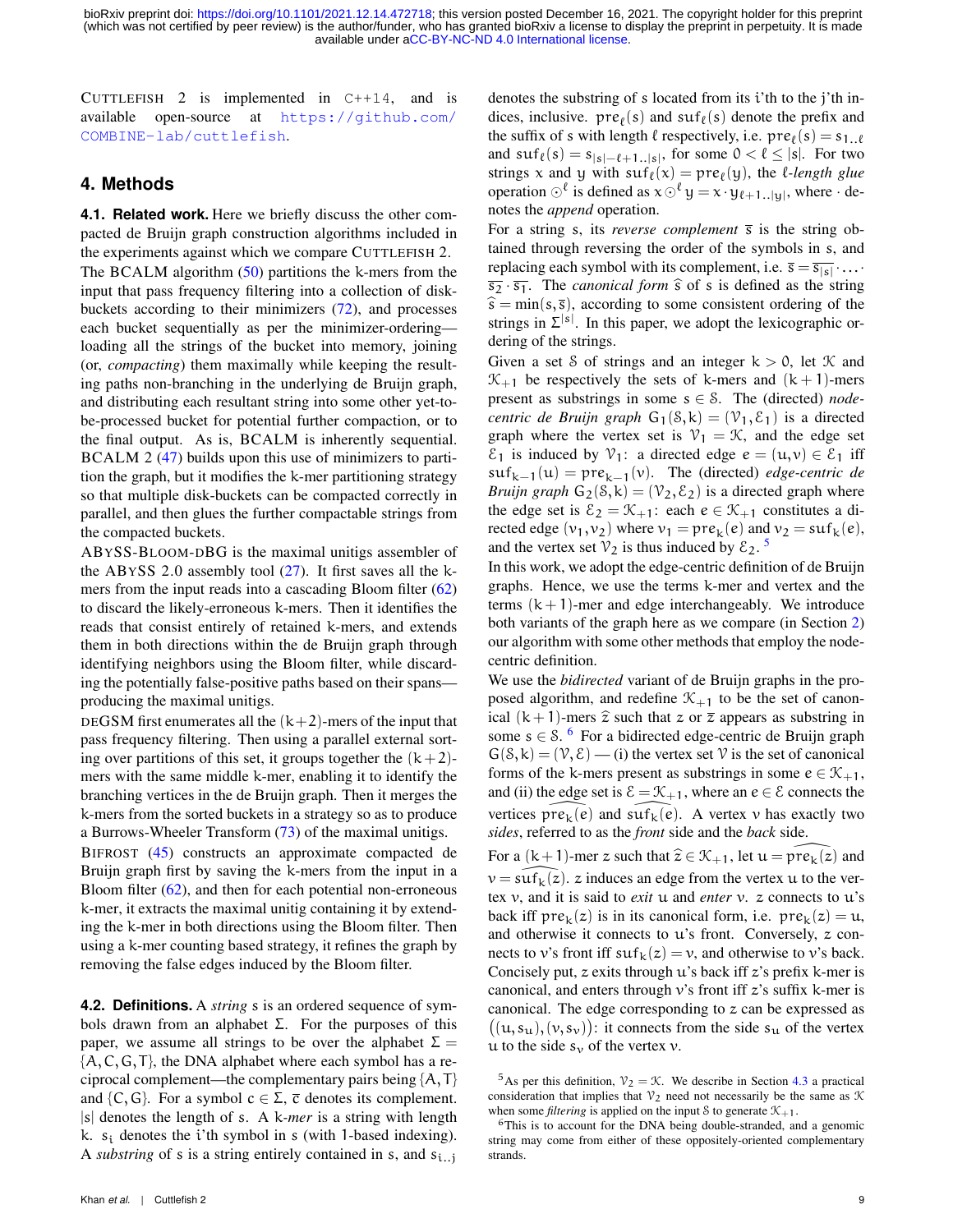CUTTLEFISH 2 is implemented in C++14, and is available open-source at [https://github.com/](https://github.com/COMBINE-lab/cuttlefish) [COMBINE-lab/cuttlefish](https://github.com/COMBINE-lab/cuttlefish).

### **4. Methods**

**4.1. Related work.** Here we briefly discuss the other compacted de Bruijn graph construction algorithms included in the experiments against which we compare CUTTLEFISH 2. The BCALM algorithm [\(50\)](#page-16-46) partitions the k-mers from the input that pass frequency filtering into a collection of diskbuckets according to their minimizers [\(72\)](#page-17-17), and processes each bucket sequentially as per the minimizer-ordering loading all the strings of the bucket into memory, joining (or, *compacting*) them maximally while keeping the resulting paths non-branching in the underlying de Bruijn graph, and distributing each resultant string into some other yet-tobe-processed bucket for potential further compaction, or to the final output. As is, BCALM is inherently sequential. BCALM 2 [\(47\)](#page-16-39) builds upon this use of minimizers to partition the graph, but it modifies the k-mer partitioning strategy so that multiple disk-buckets can be compacted correctly in parallel, and then glues the further compactable strings from the compacted buckets.

ABYSS-BLOOM-DBG is the maximal unitigs assembler of the ABYSS 2.0 assembly tool  $(27)$ . It first saves all the kmers from the input reads into a cascading Bloom filter [\(62\)](#page-17-10) to discard the likely-erroneous k-mers. Then it identifies the reads that consist entirely of retained k-mers, and extends them in both directions within the de Bruijn graph through identifying neighbors using the Bloom filter, while discarding the potentially false-positive paths based on their spans producing the maximal unitigs.

DEGSM first enumerates all the  $(k+2)$ -mers of the input that pass frequency filtering. Then using a parallel external sorting over partitions of this set, it groups together the  $(k+2)$ mers with the same middle k-mer, enabling it to identify the branching vertices in the de Bruijn graph. Then it merges the k-mers from the sorted buckets in a strategy so as to produce a Burrows-Wheeler Transform [\(73\)](#page-17-18) of the maximal unitigs.

BIFROST [\(45\)](#page-16-38) constructs an approximate compacted de Bruijn graph first by saving the k-mers from the input in a Bloom filter [\(62\)](#page-17-10), and then for each potential non-erroneous k-mer, it extracts the maximal unitig containing it by extending the k-mer in both directions using the Bloom filter. Then using a k-mer counting based strategy, it refines the graph by removing the false edges induced by the Bloom filter.

<span id="page-8-2"></span>**4.2. Definitions.** A *string* s is an ordered sequence of symbols drawn from an alphabet  $\Sigma$ . For the purposes of this paper, we assume all strings to be over the alphabet  $\Sigma =$  $\{A, C, G, T\}$ , the DNA alphabet where each symbol has a reciprocal complement—the complementary pairs being  $\{A, T\}$ and  $\{C, G\}$ . For a symbol  $c \in \Sigma$ ,  $\overline{c}$  denotes its complement. |s| denotes the length of s. A k*-mer* is a string with length k.  $s_i$  denotes the *i*'th symbol in s (with 1-based indexing). A *substring* of s is a string entirely contained in s, and  $s_{i..j}$  denotes the substring of s located from its i'th to the j'th indices, inclusive.  $pre_{\ell}(s)$  and  $suf_{\ell}(s)$  denote the prefix and the suffix of s with length  $\ell$  respectively, i.e.  $pre_{\ell}(s) = s_{1..\ell}$ and  $\text{suf}_{\ell}(s) = s_{|s|-\ell+1..|s|}$ , for some  $0 < \ell \leq |s|$ . For two strings x and y with  $\text{snf}_{\ell}(x) = \text{pre}_{\ell}(y)$ , the *l-length glue* operation  $\bigcirc^{\ell}$  is defined as  $x \bigcirc^{\ell} y = x \cdot y_{\ell+1..|y|}$ , where  $\cdot$  denotes the *append* operation.

For a string s, its *reverse complement*  $\overline{s}$  is the string obtained through reversing the order of the symbols in s, and replacing each symbol with its complement, i.e.  $\overline{s} = \overline{s_{|s|}} \cdot ... \cdot$  $\overline{s_2} \cdot \overline{s_1}$ . The *canonical form*  $\hat{s}$  of s is defined as the string  $\hat{s} = min(s, \bar{s})$ , according to some consistent ordering of the strings in  $\Sigma^{|s|}$ . In this paper, we adopt the lexicographic ordering of the strings.

Given a set S of strings and an integer  $k > 0$ , let K and  $\mathcal{K}_{+1}$  be respectively the sets of k-mers and  $(k+1)$ -mers present as substrings in some s ∈ S. The (directed) *nodecentric de Bruijn graph*  $G_1(S, k) = (\mathcal{V}_1, \mathcal{E}_1)$  is a directed graph where the vertex set is  $\mathcal{V}_1 = \mathcal{K}$ , and the edge set  $\mathcal{E}_1$  is induced by  $\mathcal{V}_1$ : a directed edge  $e = (u,v) \in \mathcal{E}_1$  iff  $\text{snf}_{k-1}(u) = \text{pre}_{k-1}(v)$ . The (directed) *edge-centric de Bruijn graph*  $G_2(8, k) = (\mathcal{V}_2, \mathcal{E}_2)$  is a directed graph where the edge set is  $\mathcal{E}_2 = \mathcal{K}_{+1}$ : each  $e \in \mathcal{K}_{+1}$  constitutes a directed edge  $(v_1, v_2)$  where  $v_1 = pre_k(e)$  and  $v_2 = \text{suf}_k(e)$ , and the vertex set  $\mathcal{V}_2$  is thus induced by  $\mathcal{E}_2$ .<sup>[5](#page-8-0)</sup>

In this work, we adopt the edge-centric definition of de Bruijn graphs. Hence, we use the terms k-mer and vertex and the terms  $(k + 1)$ -mer and edge interchangeably. We introduce both variants of the graph here as we compare (in Section [2\)](#page-1-0) our algorithm with some other methods that employ the nodecentric definition.

We use the *bidirected* variant of de Bruijn graphs in the proposed algorithm, and redefine  $\mathcal{K}_{+1}$  to be the set of canonical  $(k+1)$ -mers  $\hat{z}$  such that z or  $\bar{z}$  appears as substring in some  $s \in S$ . <sup>[6](#page-8-1)</sup> For a bidirected edge-centric de Bruijn graph  $G(\mathcal{S}, \mathcal{k}) = (\mathcal{V}, \mathcal{E})$  — (i) the vertex set V is the set of canonical forms of the k-mers present as substrings in some  $e \in \mathcal{K}_{+1}$ , and (ii) the edge set is  $\mathcal{E} = \mathcal{K}_{+1}$ , where an  $e \in \mathcal{E}$  connects the vertices  $\text{pre}_k(e)$  and  $\text{surf}_k(e)$ . A vertex v has exactly two *sides*, referred to as the *front* side and the *back* side.

For a  $(k+1)$ -mer z such that  $\hat{z} \in \mathcal{K}_{+1}$ , let  $u = \text{pre}_k(z)$  and  $v = \text{snf}_k(z)$ . z induces an edge from the vertex u to the vertex v, and it is said to *exit* u and *enter* v. z connects to u's back iff  $pre_k(z)$  is in its canonical form, i.e.  $pre_k(z) = u$ , and otherwise it connects to  $u$ 's front. Conversely,  $z$  connects to v's front iff  $\text{snf}_k(z) = v$ , and otherwise to v's back. Concisely put,  $z$  exits through  $u$ 's back iff  $z$ 's prefix k-mer is canonical, and enters through  $v$ 's front iff  $z$ 's suffix k-mer is canonical. The edge corresponding to z can be expressed as  $((u, s_u), (v, s_v))$ : it connects from the side  $s_u$  of the vertex u to the side  $s_v$  of the vertex v.

<span id="page-8-0"></span><sup>&</sup>lt;sup>5</sup>As per this definition,  $\mathcal{V}_2 = \mathcal{K}$ . We describe in Section [4.3](#page-9-0) a practical consideration that implies that  $\mathcal{V}_2$  need not necessarily be the same as  $\mathcal K$ when some *filtering* is applied on the input S to generate  $\mathcal{K}_{+1}$ .

<span id="page-8-1"></span> $6$ This is to account for the DNA being double-stranded, and a genomic string may come from either of these oppositely-oriented complementary strands.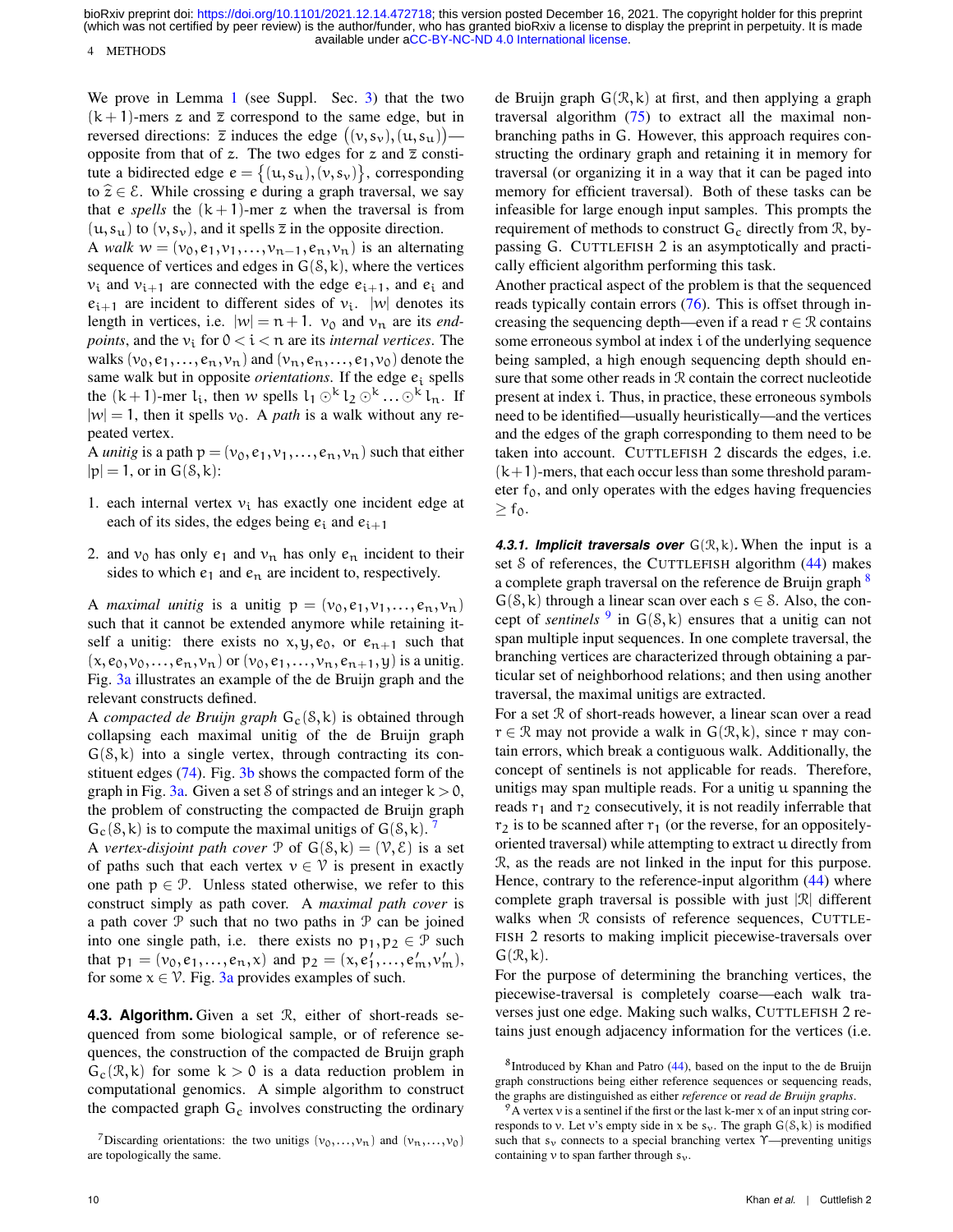4 METHODS

We prove in Lemma [1](#page-0-0) (see Suppl. Sec. [3\)](#page-6-1) that the two  $(k + 1)$ -mers z and  $\overline{z}$  correspond to the same edge, but in reversed directions:  $\overline{z}$  induces the edge  $((v, s_v), (u, s_u))$  opposite from that of z. The two edges for z and  $\overline{z}$  constitute a bidirected edge  $e = \{(u, s_u), (v, s_v)\}\)$ , corresponding to  $\hat{z} \in \mathcal{E}$ . While crossing e during a graph traversal, we say that e *spells* the  $(k + 1)$ -mer z when the traversal is from  $(u, s_u)$  to  $(v, s_v)$ , and it spells  $\overline{z}$  in the opposite direction.

A *walk*  $w = (v_0, e_1, v_1, \dots, v_{n-1}, e_n, v_n)$  is an alternating sequence of vertices and edges in  $G(8, k)$ , where the vertices  $v_i$  and  $v_{i+1}$  are connected with the edge  $e_{i+1}$ , and  $e_i$  and  $e_{i+1}$  are incident to different sides of  $v_i$ . |w| denotes its length in vertices, i.e.  $|w| = n + 1$ .  $v_0$  and  $v_n$  are its *endpoints*, and the  $v_i$  for  $0 < i < n$  are its *internal vertices*. The walks  $(v_0, e_1,...,e_n,v_n)$  and  $(v_n,e_n,...,e_1,v_0)$  denote the same walk but in opposite *orientations*. If the edge  $e_i$  spells the  $(k+1)$ -mer  $l_i$ , then w spells  $l_1 \odot^k l_2 \odot^k ... \odot^k l_n$ . If  $|w| = 1$ , then it spells  $v_0$ . A *path* is a walk without any repeated vertex.

A *unitig* is a path  $p = (v_0, e_1, v_1, \dots, e_n, v_n)$  such that either  $|p| = 1$ , or in  $G(8, k)$ :

- 1. each internal vertex  $v_i$  has exactly one incident edge at each of its sides, the edges being  $e_i$  and  $e_{i+1}$
- 2. and  $v_0$  has only  $e_1$  and  $v_n$  has only  $e_n$  incident to their sides to which  $e_1$  and  $e_n$  are incident to, respectively.

A *maximal unitig* is a unitig  $p = (v_0, e_1, v_1, \ldots, e_n, v_n)$ such that it cannot be extended anymore while retaining itself a unitig: there exists no  $x, y, e_0$ , or  $e_{n+1}$  such that  $(x, e_0, v_0, \ldots, e_n, v_n)$  or  $(v_0, e_1, \ldots, v_n, e_{n+1}, y)$  is a unitig. Fig. [3a](#page-10-0) illustrates an example of the de Bruijn graph and the relevant constructs defined.

A *compacted de Bruijn graph*  $G_c(S, k)$  is obtained through collapsing each maximal unitig of the de Bruijn graph  $G(8, k)$  into a single vertex, through contracting its constituent edges [\(74\)](#page-17-19). Fig. [3b](#page-10-0) shows the compacted form of the graph in Fig.  $3a$ . Given a set S of strings and an integer  $k > 0$ , the problem of constructing the compacted de Bruijn graph  $G_c(\mathcal{S}, k)$  is to compute the maximal unitigs of  $G(\mathcal{S}, k)$ . <sup>[7](#page-9-1)</sup>

A *vertex-disjoint path cover*  $P$  of  $G(S, k) = (V, \mathcal{E})$  is a set of paths such that each vertex  $v \in V$  is present in exactly one path  $p \in \mathcal{P}$ . Unless stated otherwise, we refer to this construct simply as path cover. A *maximal path cover* is a path cover  $P$  such that no two paths in  $P$  can be joined into one single path, i.e. there exists no  $p_1, p_2 \in \mathcal{P}$  such that  $p_1 = (v_0, e_1, \dots, e_n, x)$  and  $p_2 = (x, e'_1, \dots, e'_m, v'_m)$ , for some  $x \in V$ . Fig. [3a](#page-10-0) provides examples of such.

<span id="page-9-0"></span>**4.3. Algorithm.** Given a set R, either of short-reads sequenced from some biological sample, or of reference sequences, the construction of the compacted de Bruijn graph  $G_c(\mathcal{R}, k)$  for some  $k > 0$  is a data reduction problem in computational genomics. A simple algorithm to construct the compacted graph  $G_c$  involves constructing the ordinary de Bruijn graph  $G(\mathcal{R}, k)$  at first, and then applying a graph traversal algorithm [\(75\)](#page-17-20) to extract all the maximal nonbranching paths in G. However, this approach requires constructing the ordinary graph and retaining it in memory for traversal (or organizing it in a way that it can be paged into memory for efficient traversal). Both of these tasks can be infeasible for large enough input samples. This prompts the requirement of methods to construct  $G_c$  directly from  $\mathcal{R}$ , bypassing G. CUTTLEFISH 2 is an asymptotically and practically efficient algorithm performing this task.

Another practical aspect of the problem is that the sequenced reads typically contain errors [\(76\)](#page-17-21). This is offset through increasing the sequencing depth—even if a read  $r \in \mathcal{R}$  contains some erroneous symbol at index i of the underlying sequence being sampled, a high enough sequencing depth should ensure that some other reads in R contain the correct nucleotide present at index i. Thus, in practice, these erroneous symbols need to be identified—usually heuristically—and the vertices and the edges of the graph corresponding to them need to be taken into account. CUTTLEFISH 2 discards the edges, i.e.  $(k+1)$ -mers, that each occur less than some threshold parameter  $f_0$ , and only operates with the edges having frequencies  $> f_0$ .

**4.3.1. Implicit traversals over**  $G(\mathcal{R}, k)$ . When the input is a set *S* of references, the CUTTLEFISH algorithm [\(44\)](#page-16-36) makes a complete graph traversal on the reference de Bruijn graph <sup>[8](#page-9-2)</sup>  $G(8, k)$  through a linear scan over each  $s \in S$ . Also, the concept of *sentinels*  $9 \text{ in } G(8, k)$  $9 \text{ in } G(8, k)$  ensures that a unitig can not span multiple input sequences. In one complete traversal, the branching vertices are characterized through obtaining a particular set of neighborhood relations; and then using another traversal, the maximal unitigs are extracted.

For a set  $R$  of short-reads however, a linear scan over a read  $r \in \mathcal{R}$  may not provide a walk in  $G(\mathcal{R}, k)$ , since r may contain errors, which break a contiguous walk. Additionally, the concept of sentinels is not applicable for reads. Therefore, unitigs may span multiple reads. For a unitig u spanning the reads  $r_1$  and  $r_2$  consecutively, it is not readily inferrable that  $r<sub>2</sub>$  is to be scanned after  $r<sub>1</sub>$  (or the reverse, for an oppositelyoriented traversal) while attempting to extract u directly from R, as the reads are not linked in the input for this purpose. Hence, contrary to the reference-input algorithm  $(44)$  where complete graph traversal is possible with just  $|\mathcal{R}|$  different walks when  $R$  consists of reference sequences, CUTTLE-FISH 2 resorts to making implicit piecewise-traversals over  $G(\mathcal{R}, k)$ .

For the purpose of determining the branching vertices, the piecewise-traversal is completely coarse—each walk traverses just one edge. Making such walks, CUTTLEFISH 2 retains just enough adjacency information for the vertices (i.e.

<span id="page-9-1"></span><sup>&</sup>lt;sup>7</sup>Discarding orientations: the two unitigs  $(v_0,...,v_n)$  and  $(v_n,...,v_0)$ are topologically the same.

<span id="page-9-2"></span><sup>&</sup>lt;sup>8</sup> Introduced by Khan and Patro [\(44\)](#page-16-36), based on the input to the de Bruijn graph constructions being either reference sequences or sequencing reads, the graphs are distinguished as either *reference* or *read de Bruijn graphs*.

<span id="page-9-3"></span> $9^9$ A vertex v is a sentinel if the first or the last k-mer x of an input string corresponds to v. Let v's empty side in x be  $s_v$ . The graph  $G(8, k)$  is modified such that  $s_v$  connects to a special branching vertex  $\gamma$ —preventing unitigs containing v to span farther through  $s_{\nu}$ .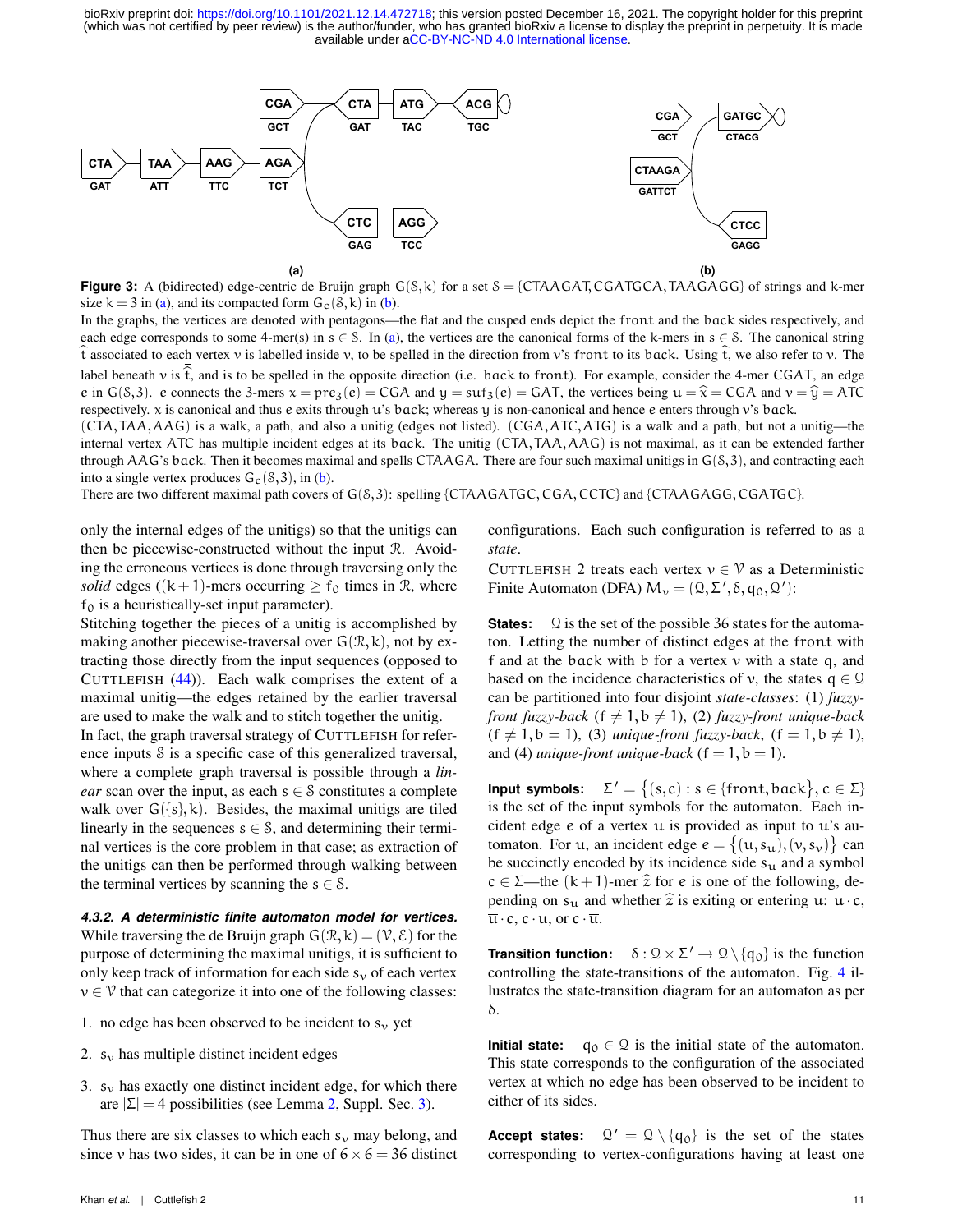<span id="page-10-0"></span>

**Figure 3:** A (bidirected) edge-centric de Bruijn graph  $G(S, k)$  for a set  $S = \{CTAAGAT, CGATGCA, TAAGAGG\}$  of strings and k-mer size  $k = 3$  in [\(a\)](#page-10-0), and its compacted form  $G_c(\delta, k)$  in [\(b\)](#page-10-0).

In the graphs, the vertices are denoted with pentagons—the flat and the cusped ends depict the front and the back sides respectively, and each edge corresponds to some 4-mer(s) in  $s \in S$ . In [\(a\)](#page-10-0), the vertices are the canonical forms of the k-mers in  $s \in S$ . The canonical string  $t$  associated to each vertex v is labelled inside v, to be spelled in the direction from v's front to its back. Using  $t$ , we also refer to v. The label beneath v is  $\hat{t}$ , and is to be spelled in the opposite direction (i.e. back to front). For example, consider the 4-mer CGAT, an edge e in G(8,3). e connects the 3-mers  $x = pre_3(e) = CGA$  and  $y = \text{suf}_3(e) = GAT$ , the vertices being  $u = \hat{x} = CGA$  and  $v = \hat{y} = ATC$ <br>respectively x is canonical and thus e exits through u's bock; whereas u is non-canonical and hence e e respectively. x is canonical and thus e exits through u's back; whereas y is non-canonical and hence e enters through v's back.

(CTA,TAA,AAG) is a walk, a path, and also a unitig (edges not listed). (CGA,ATC,ATG) is a walk and a path, but not a unitig—the internal vertex ATC has multiple incident edges at its back. The unitig (CTA,TAA,AAG) is not maximal, as it can be extended farther through AAG's back. Then it becomes maximal and spells CTAAGA. There are four such maximal unitigs in  $G(8,3)$ , and contracting each into a single vertex produces  $G_c(8,3)$ , in [\(b\)](#page-10-0).

There are two different maximal path covers of  $G(8,3)$ : spelling {CTAAGATGC, CGA, CCTC} and {CTAAGAGG, CGATGC}.

only the internal edges of the unitigs) so that the unitigs can then be piecewise-constructed without the input R. Avoiding the erroneous vertices is done through traversing only the *solid* edges ((k+1)-mers occurring  $\geq$  f<sub>0</sub> times in R, where  $f_0$  is a heuristically-set input parameter).

Stitching together the pieces of a unitig is accomplished by making another piecewise-traversal over  $G(\mathcal{R}, k)$ , not by extracting those directly from the input sequences (opposed to CUTTLEFISH  $(44)$ ). Each walk comprises the extent of a maximal unitig—the edges retained by the earlier traversal are used to make the walk and to stitch together the unitig.

In fact, the graph traversal strategy of CUTTLEFISH for reference inputs S is a specific case of this generalized traversal, where a complete graph traversal is possible through a *linear* scan over the input, as each  $s \in \mathcal{S}$  constitutes a complete walk over  $G({s}, k)$ . Besides, the maximal unitigs are tiled linearly in the sequences  $s \in \mathcal{S}$ , and determining their terminal vertices is the core problem in that case; as extraction of the unitigs can then be performed through walking between the terminal vertices by scanning the  $s \in \mathcal{S}$ .

*4.3.2. A deterministic finite automaton model for vertices.* While traversing the de Bruijn graph  $G(\mathcal{R}, k) = (\mathcal{V}, \mathcal{E})$  for the purpose of determining the maximal unitigs, it is sufficient to only keep track of information for each side  $s<sub>v</sub>$  of each vertex  $v \in V$  that can categorize it into one of the following classes:

- 1. no edge has been observed to be incident to  $s_v$  yet
- 2.  $s_v$  has multiple distinct incident edges
- 3.  $s_v$  has exactly one distinct incident edge, for which there are  $|\Sigma| = 4$  possibilities (see Lemma [2,](#page-0-0) Suppl. Sec. [3\)](#page-6-1).

Thus there are six classes to which each  $s_v$  may belong, and since v has two sides, it can be in one of  $6 \times 6 = 36$  distinct configurations. Each such configuration is referred to as a *state*.

CUTTLEFISH 2 treats each vertex  $v \in V$  as a Deterministic Finite Automaton (DFA)  $M_v = (Q, \Sigma', \delta, q_0, Q')$ :

**States:** Q is the set of the possible 36 states for the automaton. Letting the number of distinct edges at the front with f and at the back with b for a vertex v with a state q, and based on the incidence characteristics of v, the states  $q \in \mathcal{Q}$ can be partitioned into four disjoint *state-classes*: (1) *fuzzyfront fuzzy-back* ( $f \neq 1$ , $b \neq 1$ ), (2) *fuzzy-front unique-back*  $(f \neq 1, b = 1)$ , (3) *unique-front fuzzy-back*,  $(f = 1, b \neq 1)$ , and (4) *unique-front unique-back* ( $f = 1, b = 1$ ).

**Input symbols:**  $\Sigma' = \{(s,c) : s \in \{\text{front}, \text{back}\}, c \in \Sigma\}$ is the set of the input symbols for the automaton. Each incident edge e of a vertex u is provided as input to u's automaton. For u, an incident edge  $e = \{(u, s_u), (v, s_v)\}\)$  can be succinctly encoded by its incidence side  $s_u$  and a symbol  $c \in \Sigma$ —the  $(k+1)$ -mer  $\hat{z}$  for e is one of the following, depending on  $s_u$  and whether  $\hat{z}$  is exiting or entering u: u· c,  $\overline{\mathfrak{u}}\cdot c$ ,  $c\cdot\mathfrak{u}$ , or  $c\cdot\overline{\mathfrak{u}}$ .

**Transition function:**  $\delta : \mathcal{Q} \times \Sigma' \to \mathcal{Q} \setminus \{q_0\}$  is the function controlling the state-transitions of the automaton. Fig. [4](#page-11-0) illustrates the state-transition diagram for an automaton as per δ.

**Initial state:**  $q_0 \in \mathcal{Q}$  is the initial state of the automaton. This state corresponds to the configuration of the associated vertex at which no edge has been observed to be incident to either of its sides.

**Accept states:**  $Q' = Q \setminus \{q_0\}$  is the set of the states corresponding to vertex-configurations having at least one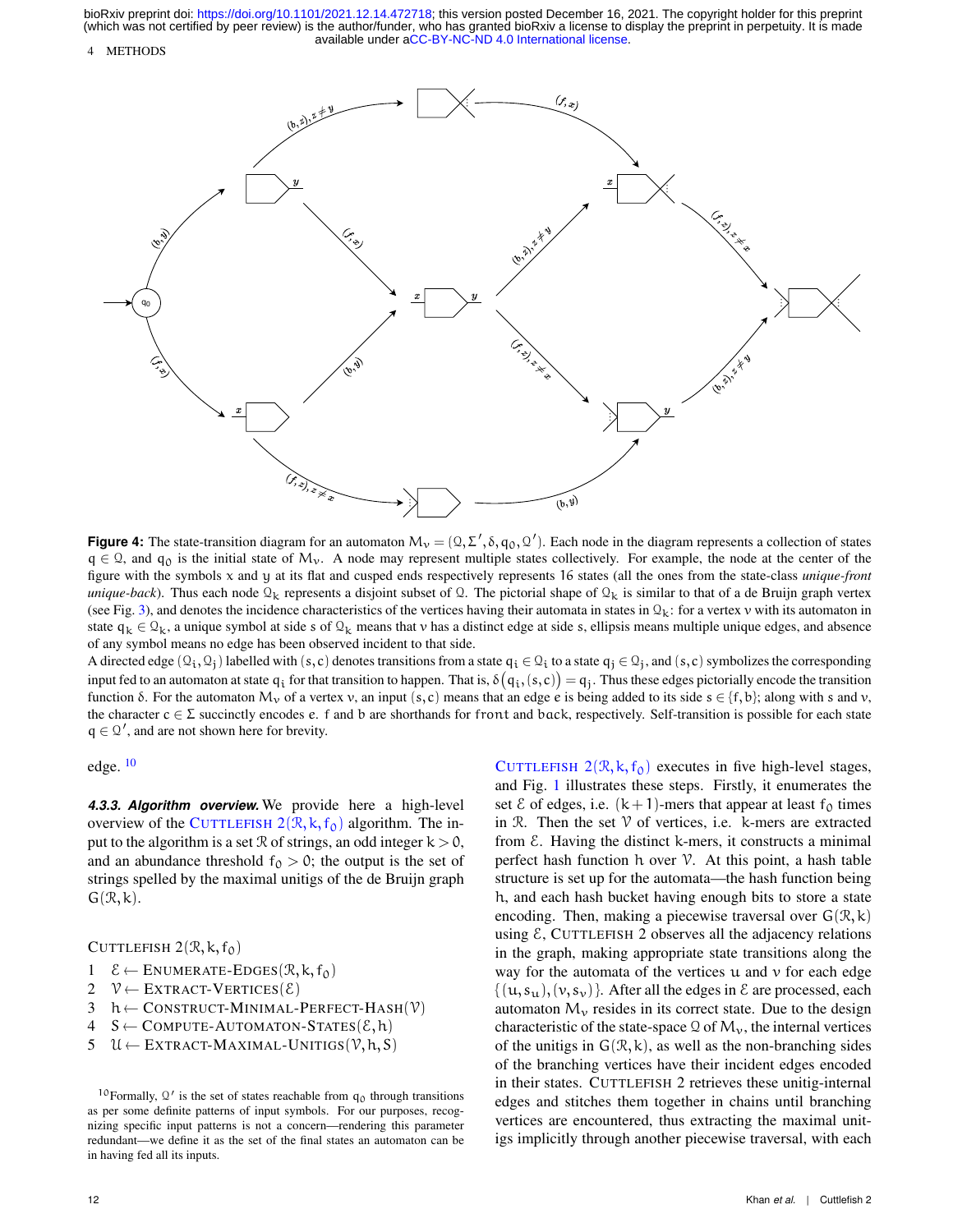#### 4 METHODS

<span id="page-11-0"></span>

**Figure 4:** The state-transition diagram for an automaton  $M_v = (Q, \Sigma', \delta, q_0, Q')$ . Each node in the diagram represents a collection of states  $q \in \mathcal{Q}$ , and  $q_0$  is the initial state of M<sub>v</sub>. A node may represent multiple states collectively. For example, the node at the center of the figure with the symbols x and y at its flat and cusped ends respectively represents 16 states (all the ones from the state-class *unique-front unique-back*). Thus each node  $\mathcal{Q}_k$  represents a disjoint subset of  $\mathcal{Q}$ . The pictorial shape of  $\mathcal{Q}_k$  is similar to that of a de Bruijn graph vertex (see Fig. [3\)](#page-10-0), and denotes the incidence characteristics of the vertices having their automata in states in  $\mathbb{Q}_k$ : for a vertex v with its automaton in state  $q_k \in Q_k$ , a unique symbol at side s of  $Q_k$  means that v has a distinct edge at side s, ellipsis means multiple unique edges, and absence of any symbol means no edge has been observed incident to that side.

A directed edge  $(Q_i, Q_j)$  labelled with  $(s, c)$  denotes transitions from a state  $\mathsf{q}_i \in \mathbb{Q}_i$  to a state  $\mathsf{q}_j \in \mathbb{Q}_j$ , and  $(s, c)$  symbolizes the corresponding input fed to an automaton at state  $\mathfrak{q}_i$  for that transition to happen. That is,  $\delta\big(\mathfrak{q}_i, (s,c)\big) = \mathfrak{q}_j$ . Thus these edges pictorially encode the transition function δ. For the automaton M<sub>ν</sub> of a vertex v, an input (s,c) means that an edge e is being added to its side s  $\in \{f, b\}$ ; along with s and v, the character  $c \in \Sigma$  succinctly encodes e. f and b are shorthands for front and back, respectively. Self-transition is possible for each state  $q \in \mathcal{Q}'$ , and are not shown here for brevity.

edge. [10](#page-11-1)

*4.3.3. Algorithm overview.* We provide here a high-level overview of the C[UTTLEFISH](#page-11-2)  $2(R, k, f_0)$  algorithm. The input to the algorithm is a set  $\Re$  of strings, an odd integer  $k > 0$ , and an abundance threshold  $f_0 > 0$ ; the output is the set of strings spelled by the maximal unitigs of the de Bruijn graph  $G(\mathcal{R}, k)$ .

CUTTLEFISH  $2(\mathcal{R}, k, f_0)$ 

- <span id="page-11-2"></span>1  $\mathcal{E} \leftarrow$  ENUMERATE-EDGES( $\mathcal{R}, k, f_0$ )<br>2  $\mathcal{V} \leftarrow$  EXTRACT-VERTICES( $\mathcal{E}$ )
- 2  $\mathcal{V} \leftarrow$  EXTRACT-VERTICES( $\mathcal{E}$ )<br>3 h  $\leftarrow$  CONSTRUCT-MINIMAL-
- 3  $h \leftarrow \text{CONSTRUCT-MINIMAL-PERFECT-HASH}(\mathcal{V})$ <br>4  $S \leftarrow \text{COMPUTE-AUTOMATOR-STATES}(\mathcal{E}, h)$
- 4 S ← COMPUTE-AUTOMATON-STATES( $\mathcal{E}, h$ )<br>5 U ← EXTRACT-MAXIMAL-UNITIGS( $\mathcal{V}, h, S$ )
- $\mathcal{U} \leftarrow$  EXTRACT-MAXIMAL-UNITIGS $(\mathcal{V}, h, S)$

C[UTTLEFISH](#page-11-2)  $2(\mathcal{R}, k, f_0)$  executes in five high-level stages, and Fig. [1](#page-2-0) illustrates these steps. Firstly, it enumerates the set  $\&$  of edges, i.e.  $(k+1)$ -mers that appear at least  $f_0$  times in  $\mathcal{R}$ . Then the set  $\mathcal V$  of vertices, i.e. k-mers are extracted from  $\epsilon$ . Having the distinct k-mers, it constructs a minimal perfect hash function  $h$  over  $V$ . At this point, a hash table structure is set up for the automata—the hash function being h, and each hash bucket having enough bits to store a state encoding. Then, making a piecewise traversal over  $G(\mathcal{R}, k)$ using  $\epsilon$ , CUTTLEFISH 2 observes all the adjacency relations in the graph, making appropriate state transitions along the way for the automata of the vertices  $u$  and  $v$  for each edge  $\{(u,s_u), (v,s_v)\}\$ . After all the edges in  $\mathcal E$  are processed, each automaton  $M_{v}$  resides in its correct state. Due to the design characteristic of the state-space  $\mathcal{Q}$  of  $M_{\nu}$ , the internal vertices of the unitigs in  $G(\mathcal{R}, k)$ , as well as the non-branching sides of the branching vertices have their incident edges encoded in their states. CUTTLEFISH 2 retrieves these unitig-internal edges and stitches them together in chains until branching vertices are encountered, thus extracting the maximal unitigs implicitly through another piecewise traversal, with each

<span id="page-11-1"></span><sup>&</sup>lt;sup>10</sup> Formally,  $\mathcal{Q}'$  is the set of states reachable from  $q_0$  through transitions as per some definite patterns of input symbols. For our purposes, recognizing specific input patterns is not a concern—rendering this parameter redundant—we define it as the set of the final states an automaton can be in having fed all its inputs.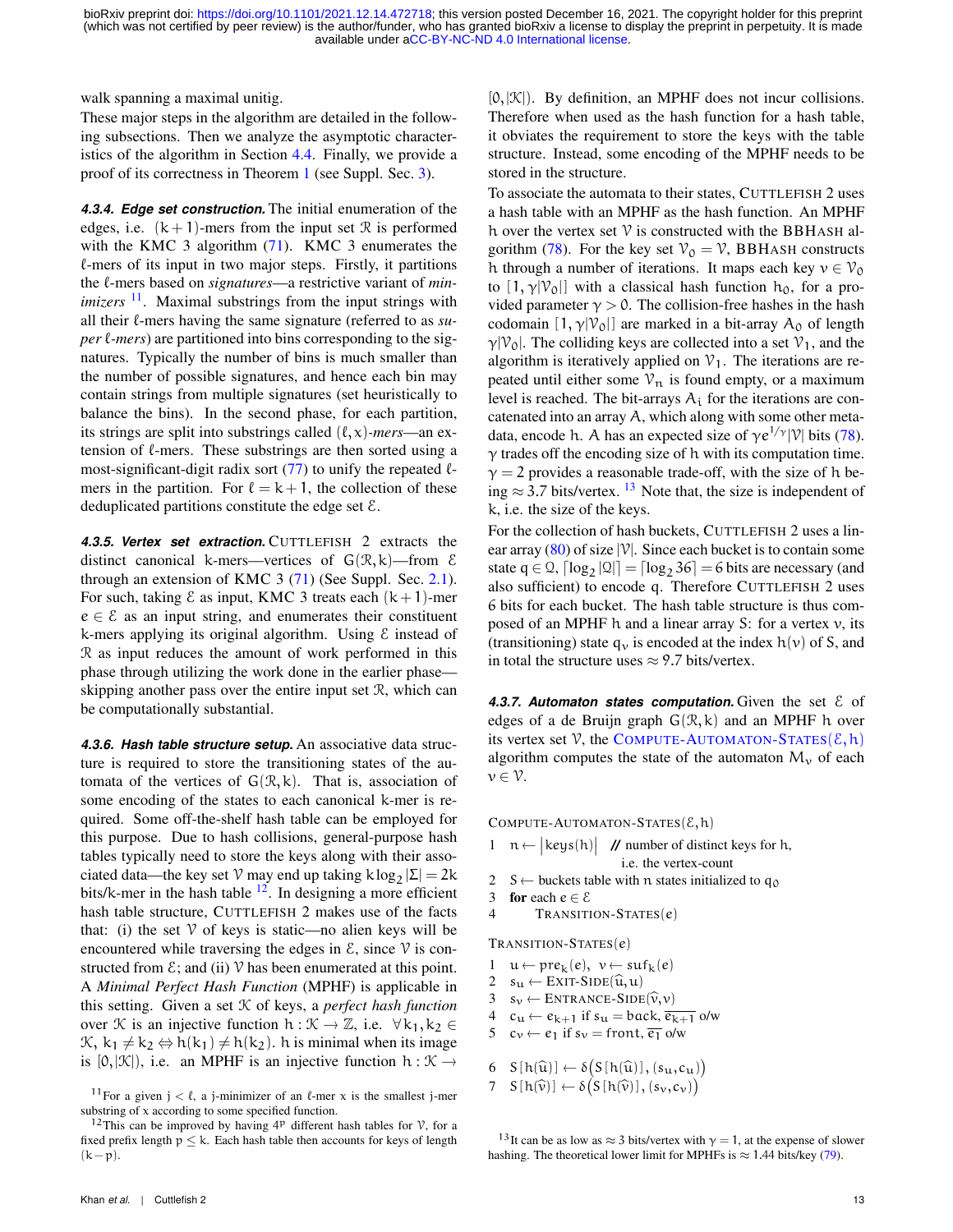walk spanning a maximal unitig.

These major steps in the algorithm are detailed in the following subsections. Then we analyze the asymptotic characteristics of the algorithm in Section [4.4.](#page-14-0) Finally, we provide a proof of its correctness in Theorem [1](#page-0-0) (see Suppl. Sec. [3\)](#page-6-1).

<span id="page-12-4"></span>*4.3.4. Edge set construction.* The initial enumeration of the edges, i.e.  $(k+1)$ -mers from the input set R is performed with the KMC 3 algorithm  $(71)$ . KMC 3 enumerates the  $\ell$ -mers of its input in two major steps. Firstly, it partitions the  $\ell$ -mers based on *signatures*—a restrictive variant of *minimizers* <sup>[11](#page-12-0)</sup>. Maximal substrings from the input strings with all their  $\ell$ -mers having the same signature (referred to as *super*  $\ell$ *-mers*) are partitioned into bins corresponding to the signatures. Typically the number of bins is much smaller than the number of possible signatures, and hence each bin may contain strings from multiple signatures (set heuristically to balance the bins). In the second phase, for each partition, its strings are split into substrings called  $(\ell, x)$ *-mers*—an extension of  $\ell$ -mers. These substrings are then sorted using a most-significant-digit radix sort  $(77)$  to unify the repeated  $\ell$ mers in the partition. For  $\ell = k + 1$ , the collection of these deduplicated partitions constitute the edge set  $\mathcal{E}$ .

*4.3.5. Vertex set extraction.* CUTTLEFISH 2 extracts the distinct canonical k-mers—vertices of  $G(\mathcal{R}, k)$ —from  $\mathcal E$ through an extension of KMC 3 [\(71\)](#page-17-15) (See Suppl. Sec. [2.1\)](#page-1-1). For such, taking  $\&$  as input, KMC 3 treats each  $(k+1)$ -mer  $e \in \mathcal{E}$  as an input string, and enumerates their constituent k-mers applying its original algorithm. Using  $\epsilon$  instead of R as input reduces the amount of work performed in this phase through utilizing the work done in the earlier phase skipping another pass over the entire input set R, which can be computationally substantial.

*4.3.6. Hash table structure setup.* An associative data structure is required to store the transitioning states of the automata of the vertices of  $G(\mathcal{R}, k)$ . That is, association of some encoding of the states to each canonical k-mer is required. Some off-the-shelf hash table can be employed for this purpose. Due to hash collisions, general-purpose hash tables typically need to store the keys along with their associated data—the key set  $\mathcal V$  may end up taking  $k \log_2 |\Sigma| = 2k$ bits/k-mer in the hash table  $12$ . In designing a more efficient hash table structure, CUTTLEFISH 2 makes use of the facts that: (i) the set  $V$  of keys is static—no alien keys will be encountered while traversing the edges in  $\mathcal{E}$ , since  $\mathcal V$  is constructed from  $\mathcal{E}$ ; and (ii)  $\mathcal{V}$  has been enumerated at this point. A *Minimal Perfect Hash Function* (MPHF) is applicable in this setting. Given a set K of keys, a *perfect hash function* over K is an injective function  $h : \mathcal{K} \to \mathbb{Z}$ , i.e.  $\forall k_1, k_2 \in$  $\mathcal{K}, k_1 \neq k_2 \Leftrightarrow h(k_1) \neq h(k_2)$ . h is minimal when its image is  $[0,|\mathcal{K}|)$ , i.e. an MPHF is an injective function  $h : \mathcal{K} \rightarrow$ 

 $[0,|\mathcal{K}|]$ . By definition, an MPHF does not incur collisions. Therefore when used as the hash function for a hash table, it obviates the requirement to store the keys with the table structure. Instead, some encoding of the MPHF needs to be stored in the structure.

To associate the automata to their states, CUTTLEFISH 2 uses a hash table with an MPHF as the hash function. An MPHF h over the vertex set  $\mathcal V$  is constructed with the BBHASH al-gorithm [\(78\)](#page-17-23). For the key set  $\mathcal{V}_0 = \mathcal{V}$ , BBHASH constructs h through a number of iterations. It maps each key  $v \in V_0$ to  $[1, \gamma |V_0|]$  with a classical hash function  $h_0$ , for a provided parameter  $\gamma > 0$ . The collision-free hashes in the hash codomain  $[1, \gamma |V_0|]$  are marked in a bit-array  $A_0$  of length  $\gamma$ | $\mathcal{V}_0$ |. The colliding keys are collected into a set  $\mathcal{V}_1$ , and the algorithm is iteratively applied on  $\mathcal{V}_1$ . The iterations are repeated until either some  $\mathcal{V}_n$  is found empty, or a maximum level is reached. The bit-arrays  $A_i$  for the iterations are concatenated into an array A, which along with some other metadata, encode h. A has an expected size of  $\gamma e^{1/\gamma} |\mathcal{V}|$  bits [\(78\)](#page-17-23).  $\gamma$  trades off the encoding size of h with its computation time.  $\gamma = 2$  provides a reasonable trade-off, with the size of h being  $\approx$  3.7 bits/vertex. <sup>[13](#page-12-2)</sup> Note that, the size is independent of k, i.e. the size of the keys.

For the collection of hash buckets, CUTTLEFISH 2 uses a lin-ear array [\(80\)](#page-17-24) of size  $|\mathcal{V}|$ . Since each bucket is to contain some state  $q \in \Omega$ ,  $\lceil \log_2 |\Omega| \rceil = \lceil \log_2 36 \rceil = 6$  bits are necessary (and also sufficient) to encode q. Therefore CUTTLEFISH 2 uses 6 bits for each bucket. The hash table structure is thus composed of an MPHF  $h$  and a linear array S: for a vertex  $v$ , its (transitioning) state  $q_v$  is encoded at the index  $h(v)$  of S, and in total the structure uses  $\approx$  9.7 bits/vertex.

4.3.7. Automaton states computation. Given the set  $\mathcal E$  of edges of a de Bruijn graph  $G(\mathcal{R}, k)$  and an MPHF h over its vertex set  $\mathcal V$ , the COMPUTE-A[UTOMATON](#page-12-3)-STATES( $\mathcal E, h$ ) algorithm computes the state of the automaton  $M_{\nu}$  of each  $\nu \in \mathcal{V}$ .

COMPUTE-AUTOMATON-STATES $(\mathcal{E},h)$ 

- <span id="page-12-3"></span>1  $n \leftarrow \vert \text{keys}(h) \vert$  // number of distinct keys for h, i.e. the vertex-count
- 2 S ← buckets table with n states initialized to  $q_0$ <br>3 **for** each  $e \in \mathcal{E}$
- for each  $e \in \mathcal{E}$
- 4 TRANSITION-STATES(e)

TRANSITION-STATES(e)

- 1  $u \leftarrow pre_k(e), v \leftarrow surf_k(e)$ <br>2  $s_u \leftarrow \text{EXT}\text{-}\text{SIDE}(\widehat{u}, u)$
- 2  $s_u \leftarrow \text{EXT}\text{-}\text{SIDE}(\hat{u}, u)$ <br>3  $s_v \leftarrow \text{ENTRANCE-SIDE}$
- 3  $s_v \leftarrow \text{ENTRANCE-SIDE}(\hat{v}, v)$ <br>4  $c_u \leftarrow e_{k+1}$  if  $s_u = \text{back}, \overline{e_k}$
- 4 c<sub>u</sub> ←  $e_{k+1}$  if s<sub>u</sub> = back,  $\overline{e_{k+1}}$  o/w<br>5 c<sub>v</sub> ←  $e_1$  if s<sub>v</sub> = front,  $\overline{e_1}$  o/w
- $c_v \leftarrow e_1$  if  $s_v =$  front,  $\overline{e_1}$  o/w

6 
$$
S[h(\widehat{u})] \leftarrow \delta(S[h(\widehat{u})), (s_u, c_u))
$$
  
7  $S[h(\widehat{u})] \leftarrow S(S[h(\widehat{u})], (s_u, c_u))$ 

7  $S[h(\widehat{v})] \leftarrow \delta(S[h(\widehat{v})], (s_v, c_v))$ 

<span id="page-12-2"></span><sup>13</sup>It can be as low as  $\approx$  3 bits/vertex with  $\gamma$  = 1, at the expense of slower hashing. The theoretical lower limit for MPHFs is  $\approx 1.44$  bits/key [\(79\)](#page-17-25).

<span id="page-12-0"></span><sup>&</sup>lt;sup>11</sup>For a given  $j < l$ , a j-minimizer of an  $l$ -mer x is the smallest j-mer substring of  $x$  according to some specified function.

<span id="page-12-1"></span><sup>&</sup>lt;sup>12</sup>This can be improved by having  $4^p$  different hash tables for  $\mathcal{V}$ , for a fixed prefix length  $p \le k$ . Each hash table then accounts for keys of length  $(k-p)$ .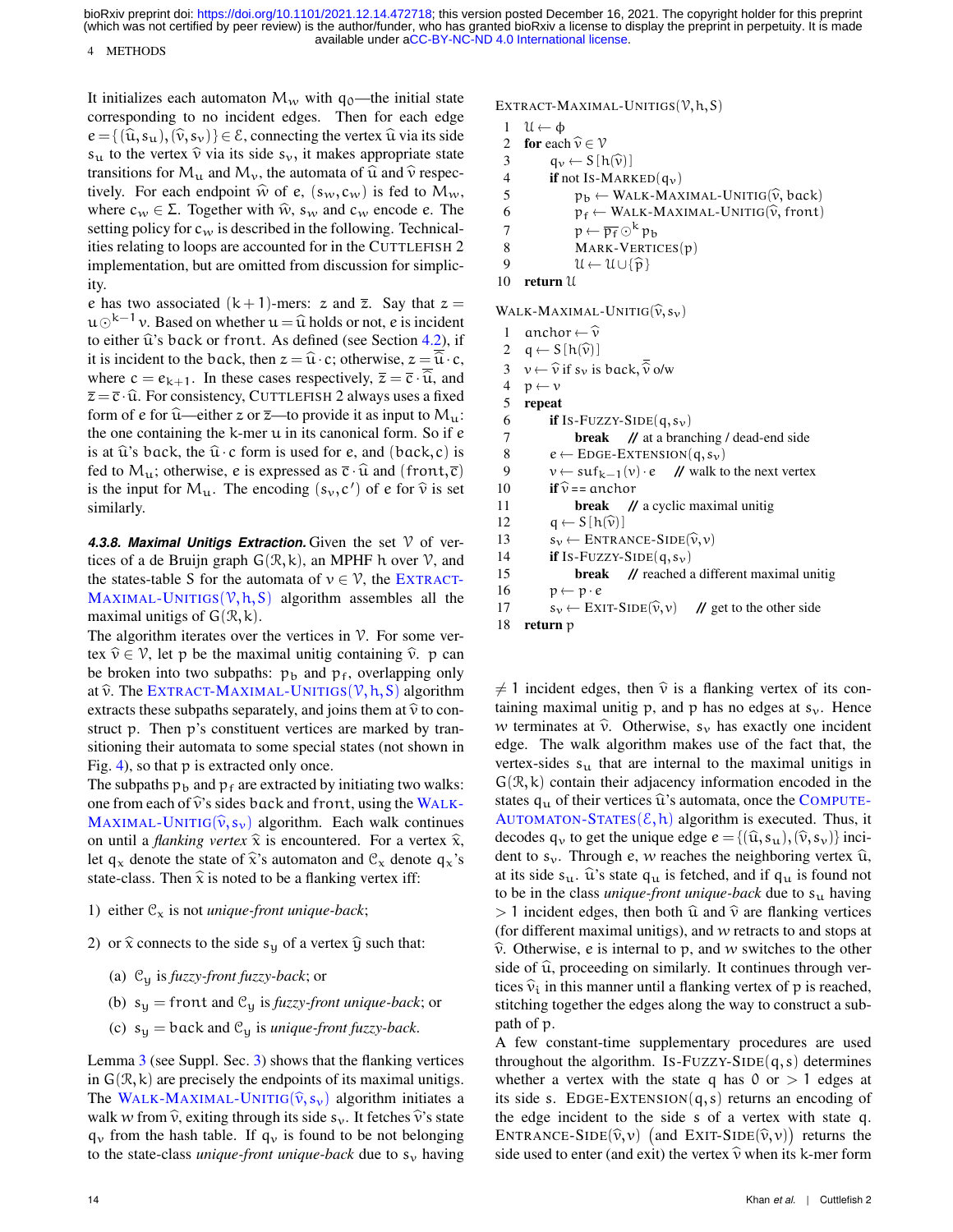#### 4 METHODS

It initializes each automaton  $M_w$  with  $q_0$ —the initial state corresponding to no incident edges. Then for each edge  $e = \{(\hat{u}, s_u),(\hat{v}, s_v)\}\in \mathcal{E}$ , connecting the vertex  $\hat{u}$  via its side  $s_u$  to the vertex  $\hat{v}$  via its side  $s_v$ , it makes appropriate state transitions for  $M_u$  and  $M_v$ , the automata of  $\hat{u}$  and  $\hat{v}$  respectively. For each endpoint  $\hat{w}$  of e,  $(s_w,c_w)$  is fed to  $M_w$ , where  $c_w \in \Sigma$ . Together with  $\hat{w}$ ,  $s_w$  and  $c_w$  encode e. The setting policy for  $c_w$  is described in the following. Technicalities relating to loops are accounted for in the CUTTLEFISH 2 implementation, but are omitted from discussion for simplicity.

e has two associated  $(k + 1)$ -mers: z and  $\overline{z}$ . Say that  $z =$  $u\odot^{k-1}v$ . Based on whether  $u = \hat{u}$  holds or not, e is incident to either  $\hat{u}$ 's back or front. As defined (see Section [4.2\)](#page-8-2), if it is incident to the back, then  $z = \hat{u} \cdot c$ ; otherwise,  $z = \overline{\hat{u}} \cdot c$ , where  $c = e_{k+1}$ . In these cases respectively,  $\overline{z} = \overline{c} \cdot \hat{u}$ , and  $\overline{z} = \overline{c} \cdot \widehat{u}$ . For consistency, CUTTLEFISH 2 always uses a fixed form of e for  $\hat{u}$ —either z or  $\bar{z}$ —to provide it as input to  $M_{u}$ : the one containing the k-mer u in its canonical form. So if e is at  $\hat{u}$ 's back, the  $\hat{u} \cdot c$  form is used for e, and (back,c) is fed to  $M_u$ ; otherwise, e is expressed as  $\bar{c} \cdot \hat{u}$  and (front,  $\bar{c}$ ) is the input for  $M_u$ . The encoding  $(s_v, c')$  of e for  $\hat{v}$  is set eimilarly. similarly.

**4.3.8. Maximal Unitigs Extraction.** Given the set  $\mathcal V$  of vertices of a de Bruijn graph  $G(\mathcal{R}, k)$ , an MPHF h over  $\mathcal{V}$ , and the states-table S for the automata of  $v \in V$ , the E[XTRACT](#page-13-0)-M[AXIMAL](#page-13-0)-UNITIGS $(V, h, S)$  algorithm assembles all the maximal unitigs of  $G(\mathcal{R}, k)$ .

The algorithm iterates over the vertices in  $\mathcal V$ . For some vertex  $\hat{v} \in V$ , let p be the maximal unitig containing  $\hat{v}$ . p can be broken into two subpaths:  $p_b$  and  $p_f$ , overlapping only at  $\hat{v}$ . The EXTRACT-M[AXIMAL](#page-13-0)-UNITIGS( $V$ , h, S) algorithm extracts these subpaths separately, and joins them at  $\hat{v}$  to construct p. Then p's constituent vertices are marked by transitioning their automata to some special states (not shown in Fig. [4\)](#page-11-0), so that p is extracted only once.

The subpaths  $p_b$  and  $p_f$  are extracted by initiating two walks: one from each of  $\hat{v}$ 's sides back and front, using the W[ALK](#page-13-1)-M[AXIMAL](#page-13-1)-UNITIG( $\hat{v}, s_v$ ) algorithm. Each walk continues on until a *flanking vertex*  $\hat{x}$  is encountered. For a vertex  $\hat{x}$ , let  $q_x$  denote the state of  $\hat{x}$ 's automaton and  $\mathcal{C}_x$  denote  $q_x$ 's state-class. Then  $\hat{x}$  is noted to be a flanking vertex iff:

### 1) either  $\mathcal{C}_x$  is not *unique-front unique-back*;

- 2) or  $\hat{x}$  connects to the side s<sub>y</sub> of a vertex  $\hat{y}$  such that:
	- (a) C<sup>y</sup> is *fuzzy-front fuzzy-back*; or
	- (b)  $s_y$  = front and  $C_y$  is *fuzzy-front unique-back*; or
	- (c)  $s_y =$  back and  $C_y$  is *unique-front fuzzy-back*.

Lemma [3](#page-0-0) (see Suppl. Sec. [3\)](#page-6-1) shows that the flanking vertices in  $G(\mathcal{R}, k)$  are precisely the endpoints of its maximal unitigs. The WALK-M[AXIMAL](#page-13-1)-UNITIG( $\hat{v}$ ,  $s_v$ ) algorithm initiates a walk w from  $\hat{v}$ , exiting through its side s<sub>v</sub>. It fetches  $\hat{v}$ 's state  $q_v$  from the hash table. If  $q_v$  is found to be not belonging to the state-class *unique-front unique-back* due to  $s_v$  having

```
1 \mathcal{U} \leftarrow \phi<br>2 for each
```

```
2 for each \widehat{v} \in V<br>3 q<sub>v</sub> \leftarrow S [h
3 q_v \leftarrow S[h(\widehat{v})]<br>4 if not Is-MARK
```

```
if not Is-MARKED(q_v)
```
5  $p_b \leftarrow \text{WALK-MAXIMAL-UNITIG}(\hat{v}, \text{back})$ <br>6  $p_f \leftarrow \text{WALK-MAXIMAL-UNITIG}(\hat{v}, \text{front})$ 

```
6 p_f \leftarrow \text{WALK-MAXIMAL-UNITIG}(\hat{v}, \text{front})<br>
p \leftarrow \overline{p_f} \odot^k p_h
```

```
7 p \leftarrow \overline{p_f} \odot^k p_b
```

```
8 MARK-VERTICES(p)<br>9 \mathcal{U} \leftarrow \mathcal{U} \cup \{\widehat{\mathbf{n}}\}
```

```
9 \mathcal{U} \leftarrow \mathcal{U} \cup \{\widehat{\mathbf{p}}\}<br>10 return \mathcal{U}
```

```
return U
```
WALK-MAXIMAL-UNITIG $(\hat{v}, s_v)$ <br>1 anchor  $\leftarrow \hat{v}$ 

```
1 anchor \leftarrow \widehat{v}<br>2 q \leftarrow S[h(\widehat{v})]2 q \leftarrow S [h(\hat{v})]<br>3 v \leftarrow \hat{v} if s<sub>v</sub> is
  3 v \leftarrow \widehat{v} if s<sub>v</sub> is back, \widehat{\widehat{v}} o/w<br>4 p \leftarrow v4 p \leftarrow v<br>5 repeat
        repeat
  6 if Is-Fuzzy-SIDE(q, s_v)7 break // at a branching / dead-end side
  8 e \leftarrow \text{EOGE-EXTENSION}(q, s_v)<br>9 v \leftarrow \text{snf}_{v=1}(v) \cdot e \quad \text{W walk to}9 v \leftarrow \text{snf}_{k-1}(v) \cdot e // walk to the next vertex<br>10 if \hat{v} = \text{anchor}10 if \hat{v} == anchor<br>11 break //
                                         // a cyclic maximal unitig
12 q \leftarrow S[h(\widehat{v})]<br>13 s_v \leftarrow ENTRA13 s_v \leftarrow \text{ENTRANCE-SIDE}(\hat{v}, v)<br>14 if Is-Fuzzy-SIDE(q, s<sub>v</sub>)
                 if Is-Fuzzy-SIDE(q, s_v)15 break // reached a different maximal unitig
16 p \leftarrow p \cdot e<br>17 s_v \leftarrow EX17 s_v \leftarrow \text{EXT}\text{-}\text{SIDE}(\hat{v}, v) // get to the other side<br>18 return p
        return p
```
 $\neq$  1 incident edges, then  $\hat{v}$  is a flanking vertex of its containing maximal unitig p, and p has no edges at  $s_v$ . Hence w terminates at  $\hat{v}$ . Otherwise,  $s_v$  has exactly one incident edge. The walk algorithm makes use of the fact that, the vertex-sides  $s<sub>u</sub>$  that are internal to the maximal unitigs in  $G(\mathcal{R}, k)$  contain their adjacency information encoded in the states  $q_u$  of their vertices  $\hat{u}$ 's automata, once the C[OMPUTE](#page-12-3)-A[UTOMATON](#page-12-3)-STATES $(\xi, h)$  algorithm is executed. Thus, it decodes  $q_v$  to get the unique edge  $e = \{(\hat{u}, s_u),(\hat{v}, s_v)\}\$ incident to  $s_v$ . Through e, w reaches the neighboring vertex  $\hat{u}$ , at its side  $s_u$ .  $\hat{u}$ 's state  $q_u$  is fetched, and if  $q_u$  is found not to be in the class *unique-front unique-back* due to  $s<sub>u</sub>$  having  $> 1$  incident edges, then both  $\hat{u}$  and  $\hat{v}$  are flanking vertices (for different maximal unitigs), and w retracts to and stops at  $\hat{v}$ . Otherwise, e is internal to p, and w switches to the other side of  $\hat{u}$ , proceeding on similarly. It continues through vertices  $\hat{v}_i$  in this manner until a flanking vertex of p is reached, stitching together the edges along the way to construct a subpath of p.

A few constant-time supplementary procedures are used throughout the algorithm. Is-FUZZY-SIDE $(q, s)$  determines whether a vertex with the state q has  $0$  or  $> 1$  edges at its side s. EDGE-EXTENSION $(q, s)$  returns an encoding of the edge incident to the side s of a vertex with state q. ENTRANCE-SIDE( $\hat{v}, v$ ) (and EXIT-SIDE( $\hat{v}, v$ )) returns the side used to enter (and exit) the vertex  $\hat{v}$  when its k-mer form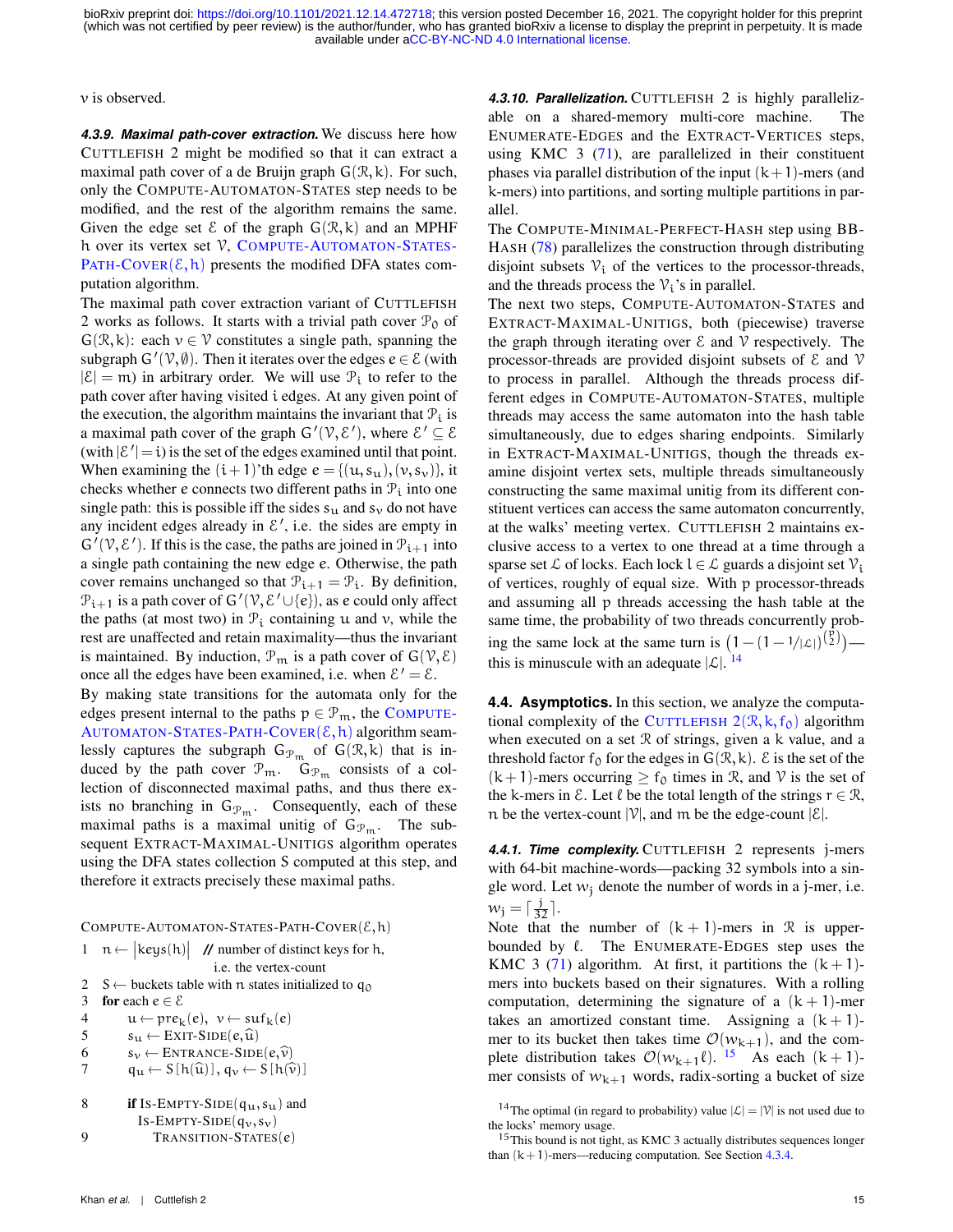v is observed.

*4.3.9. Maximal path-cover extraction.* We discuss here how CUTTLEFISH 2 might be modified so that it can extract a maximal path cover of a de Bruijn graph  $G(\mathcal{R}, k)$ . For such, only the COMPUTE-AUTOMATON-STATES step needs to be modified, and the rest of the algorithm remains the same. Given the edge set  $\mathcal E$  of the graph  $G(\mathcal R, k)$  and an MPHF h over its vertex set V, COMPUTE-A[UTOMATON](#page-14-2)-STATES-PATH-C[OVER](#page-14-2) $(\xi, h)$  presents the modified DFA states computation algorithm.

The maximal path cover extraction variant of CUTTLEFISH 2 works as follows. It starts with a trivial path cover  $\mathcal{P}_0$  of  $G(\mathcal{R}, k)$ : each  $v \in \mathcal{V}$  constitutes a single path, spanning the subgraph  $G'(\mathcal{V}, \emptyset)$ . Then it iterates over the edges  $e \in \mathcal{E}$  (with  $|\mathcal{E}| = m$ ) in arbitrary order. We will use  $\mathcal{P}_i$  to refer to the path cover after having visited i edges. At any given point of the execution, the algorithm maintains the invariant that  $P_i$  is a maximal path cover of the graph  $G'(\mathcal{V}, \mathcal{E}')$ , where  $\mathcal{E}' \subseteq \mathcal{E}$ (with  $|\mathcal{E}'| = i$ ) is the set of the edges examined until that point. When examining the  $(i+1)$ 'th edge  $e = \{(u, s_u), (v, s_v)\}\$ , it checks whether e connects two different paths in  $P_i$  into one single path: this is possible iff the sides  $s_{\mu}$  and  $s_{\nu}$  do not have any incident edges already in  $\mathcal{E}'$ , i.e. the sides are empty in  $G'(\mathcal{V}, \mathcal{E}')$ . If this is the case, the paths are joined in  $\mathcal{P}_{i+1}$  into a single path containing the new edge e. Otherwise, the path cover remains unchanged so that  $\mathcal{P}_{i+1} = \mathcal{P}_i$ . By definition,  $\mathcal{P}_{i+1}$  is a path cover of  $G'(\mathcal{V}, \mathcal{E}' \cup \{e\})$ , as e could only affect the paths (at most two) in  $\mathcal{P}_i$  containing u and v, while the rest are unaffected and retain maximality—thus the invariant is maintained. By induction,  $\mathcal{P}_m$  is a path cover of  $G(\mathcal{V}, \mathcal{E})$ once all the edges have been examined, i.e. when  $\mathcal{E}' = \mathcal{E}$ .

By making state transitions for the automata only for the edges present internal to the paths  $p \in \mathcal{P}_m$ , the C[OMPUTE](#page-14-2)-A[UTOMATON](#page-14-2)-STATES-PATH-COVER $(\mathcal{E}, h)$  algorithm seamlessly captures the subgraph  $G_{\mathcal{P}_m}$  of  $G(\mathcal{R}, k)$  that is induced by the path cover  $\mathcal{P}_m$ .  $\mathcal{G}_{\mathcal{P}_m}$  consists of a collection of disconnected maximal paths, and thus there exists no branching in  $G_{\mathcal{P}_m}$ . Consequently, each of these maximal paths is a maximal unitig of  $G_{\mathcal{P}_m}$ . The subsequent EXTRACT-MAXIMAL-UNITIGS algorithm operates using the DFA states collection S computed at this step, and therefore it extracts precisely these maximal paths.

COMPUTE-AUTOMATON-STATES-PATH-COVER( $\mathcal{E}, h$ )

<span id="page-14-2"></span>

|  | $1 \quad n \leftarrow \begin{vmatrix} \text{keys}(h) \end{vmatrix}$ // number of distinct keys for h, |
|--|-------------------------------------------------------------------------------------------------------|
|  | <i>i.e.</i> the vertex-count                                                                          |

- 2 S ← buckets table with n states initialized to  $q_0$ <br>3 for each  $e \in \mathcal{E}$
- for each  $e \in \mathcal{E}$
- 4  $u \leftarrow \text{pre}_k(e), v \leftarrow \text{surf}_k(e)$ <br>5  $s_u \leftarrow \text{EXT-SIDE}(e, \hat{u})$
- 5  $s_u \leftarrow \text{EXIT-SIDE}(e, \widehat{u})$ <br>6  $s_v \leftarrow \text{ENTRANCE-SIDE}$
- 6  $s_v \leftarrow \text{ENTRANCE-SIDE}(e, \hat{v})$ <br>  $q_u \leftarrow S[h(\hat{u})], q_v \leftarrow S[h(\hat{v})]$
- $q_u \leftarrow S[h(\widehat{u})], q_v \leftarrow S[h(\widehat{v})]$
- 8 if Is-EMPTY-SIDE( $q_u$ ,  $s_u$ ) and IS-EMPTY-SIDE $(q_v, s_v)$
- 9 TRANSITION-STATES(e)

*4.3.10. Parallelization.* CUTTLEFISH 2 is highly parallelizable on a shared-memory multi-core machine. The ENUMERATE-EDGES and the EXTRACT-VERTICES steps, using KMC  $3$  [\(71\)](#page-17-15), are parallelized in their constituent phases via parallel distribution of the input  $(k+1)$ -mers (and k-mers) into partitions, and sorting multiple partitions in parallel.

The COMPUTE-MINIMAL-PERFECT-HASH step using BB-HASH [\(78\)](#page-17-23) parallelizes the construction through distributing disjoint subsets  $V_i$  of the vertices to the processor-threads, and the threads process the  $\mathcal{V}_i$ 's in parallel.

The next two steps, COMPUTE-AUTOMATON-STATES and EXTRACT-MAXIMAL-UNITIGS, both (piecewise) traverse the graph through iterating over  $\mathcal E$  and  $\mathcal V$  respectively. The processor-threads are provided disjoint subsets of  $\epsilon$  and  $\gamma$ to process in parallel. Although the threads process different edges in COMPUTE-AUTOMATON-STATES, multiple threads may access the same automaton into the hash table simultaneously, due to edges sharing endpoints. Similarly in EXTRACT-MAXIMAL-UNITIGS, though the threads examine disjoint vertex sets, multiple threads simultaneously constructing the same maximal unitig from its different constituent vertices can access the same automaton concurrently, at the walks' meeting vertex. CUTTLEFISH 2 maintains exclusive access to a vertex to one thread at a time through a sparse set  $\mathcal L$  of locks. Each lock  $l \in \mathcal L$  guards a disjoint set  $\mathcal V_i$ of vertices, roughly of equal size. With p processor-threads and assuming all p threads accessing the hash table at the same time, the probability of two threads concurrently probing the same lock at the same turn is  $(1 - (1 - 1/|\mathcal{L}|)^{(\frac{\hat{p}}{2})})$ this is minuscule with an adequate  $|\mathcal{L}|$ . <sup>[14](#page-14-3)</sup>

<span id="page-14-0"></span>**4.4. Asymptotics.** In this section, we analyze the computa-tional complexity of the C[UTTLEFISH](#page-11-2)  $2(\mathcal{R}, k, f_0)$  algorithm when executed on a set R of strings, given a k value, and a threshold factor f<sub>0</sub> for the edges in  $G(\mathcal{R}, k)$ .  $\mathcal{E}$  is the set of the  $(k+1)$ -mers occurring  $\geq f_0$  times in R, and V is the set of the k-mers in  $\mathcal E$ . Let  $\ell$  be the total length of the strings  $r \in \mathcal R$ , n be the vertex-count  $|\mathcal{V}|$ , and m be the edge-count  $|\mathcal{E}|$ .

<span id="page-14-1"></span>*4.4.1. Time complexity.* CUTTLEFISH 2 represents j-mers with 64-bit machine-words—packing 32 symbols into a single word. Let  $w_i$  denote the number of words in a j-mer, i.e.  $w_j = \lceil \frac{j}{32} \rceil$ .

Note that the number of  $(k + 1)$ -mers in R is upperbounded by  $\ell$ . The ENUMERATE-EDGES step uses the KMC 3 [\(71\)](#page-17-15) algorithm. At first, it partitions the  $(k+1)$ mers into buckets based on their signatures. With a rolling computation, determining the signature of a  $(k + 1)$ -mer takes an amortized constant time. Assigning a  $(k + 1)$ mer to its bucket then takes time  $\mathcal{O}(w_{k+1})$ , and the complete distribution takes  $\mathcal{O}(w_{k+1}\ell)$ . <sup>[15](#page-14-4)</sup> As each  $(k + 1)$ mer consists of  $w_{k+1}$  words, radix-sorting a bucket of size

<span id="page-14-3"></span><sup>&</sup>lt;sup>14</sup>The optimal (in regard to probability) value  $|\mathcal{L}| = |\mathcal{V}|$  is not used due to the locks' memory usage.

<span id="page-14-4"></span><sup>15</sup>This bound is not tight, as KMC 3 actually distributes sequences longer than  $(k+1)$ -mers—reducing computation. See Section [4.3.4.](#page-12-4)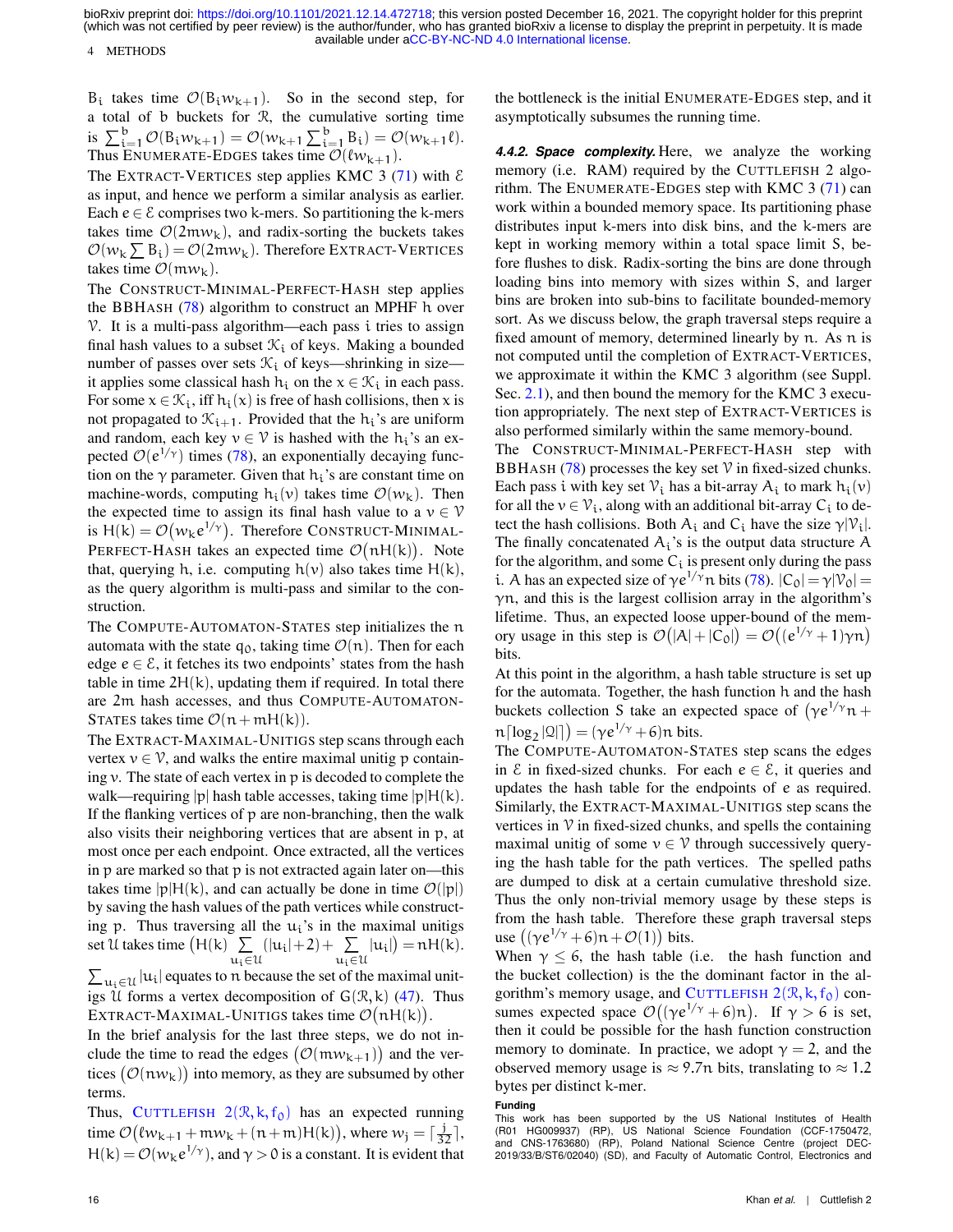4 METHODS

 $B_i$  takes time  $\mathcal{O}(B_i w_{k+1})$ . So in the second step, for a total of b buckets for R, the cumulative sorting time is  $\sum_{i=1}^{b} \mathcal{O}(B_i w_{k+1}) = \mathcal{O}(w_{k+1} \sum_{i=1}^{b} B_i) = \mathcal{O}(w_{k+1} \ell).$ Thus ENUMERATE-EDGES takes time  $\mathcal{O}(\ell w_{k+1})$ .

The EXTRACT-VERTICES step applies KMC 3 [\(71\)](#page-17-15) with  $\epsilon$ as input, and hence we perform a similar analysis as earlier. Each  $e \in \mathcal{E}$  comprises two k-mers. So partitioning the k-mers takes time  $\mathcal{O}(2m w_k)$ , and radix-sorting the buckets takes  $\mathcal{O}(w_k \sum B_i) = \mathcal{O}(2m w_k)$ . Therefore EXTRACT-VERTICES takes time  $\mathcal{O}(m w_k)$ .

The CONSTRUCT-MINIMAL-PERFECT-HASH step applies the BBHASH [\(78\)](#page-17-23) algorithm to construct an MPHF h over  $\nu$ . It is a multi-pass algorithm—each pass i tries to assign final hash values to a subset  $\mathcal{K}_i$  of keys. Making a bounded number of passes over sets  $\mathcal{K}_i$  of keys—shrinking in size it applies some classical hash  $h_i$  on the  $x \in \mathcal{K}_i$  in each pass. For some  $x \in \mathcal{K}_i$ , iff  $h_i(x)$  is free of hash collisions, then x is not propagated to  $\mathcal{K}_{i+1}$ . Provided that the  $h_i$ 's are uniform and random, each key  $v \in V$  is hashed with the  $h_i$ 's an expected  $\mathcal{O}(e^{1/\gamma})$  times [\(78\)](#page-17-23), an exponentially decaying function on the  $\gamma$  parameter. Given that  $h_i$ 's are constant time on machine-words, computing  $h_i(v)$  takes time  $\mathcal{O}(w_k)$ . Then the expected time to assign its final hash value to a  $v \in V$ is  $H(k) = \mathcal{O}(w_k e^{1/\gamma})$ . Therefore CONSTRUCT-MINIMAL-PERFECT-HASH takes an expected time  $\mathcal{O}(nH(k))$ . Note that, querying h, i.e. computing  $h(v)$  also takes time  $H(k)$ , as the query algorithm is multi-pass and similar to the construction.

The COMPUTE-AUTOMATON-STATES step initializes the n automata with the state  $q_0$ , taking time  $\mathcal{O}(n)$ . Then for each edge  $e \in \mathcal{E}$ , it fetches its two endpoints' states from the hash table in time  $2H(k)$ , updating them if required. In total there are 2m hash accesses, and thus COMPUTE-AUTOMATON-STATES takes time  $\mathcal{O}(n+mH(k)).$ 

The EXTRACT-MAXIMAL-UNITIGS step scans through each vertex  $v \in V$ , and walks the entire maximal unitig p containing v. The state of each vertex in p is decoded to complete the walk—requiring |p| hash table accesses, taking time  $|p|H(k)$ . If the flanking vertices of p are non-branching, then the walk also visits their neighboring vertices that are absent in p, at most once per each endpoint. Once extracted, all the vertices in p are marked so that p is not extracted again later on—this takes time  $|p|H(k)$ , and can actually be done in time  $\mathcal{O}(|p|)$ by saving the hash values of the path vertices while constructing p. Thus traversing all the  $u_i$ 's in the maximal unitigs set U takes time  $(H(k) \sum$  $\mathfrak{u_i} \!\in\! \mathfrak{U}$  $(|u_i|+2)+\sum$  $\mathfrak{u}_\mathfrak{i}$ ∈U  $|u_i|$  =  $nH(k)$ .

 $\sum_{u_i \in \mathcal{U}} |u_i|$  equates to n because the set of the maximal unitigs U forms a vertex decomposition of  $G(\mathcal{R}, k)$  [\(47\)](#page-16-39). Thus EXTRACT-MAXIMAL-UNITIGS takes time  $\mathcal{O}(nH(k)).$ 

In the brief analysis for the last three steps, we do not include the time to read the edges  $(\mathcal{O}(m w_{k+1}))$  and the vertices  $\big(\mathcal{O}(n w_\mathsf{k})\big)$  into memory, as they are subsumed by other terms.

Thus, C[UTTLEFISH](#page-11-2)  $2(\mathcal{R}, k, f_0)$  has an expected running time  $\mathcal{O}(\ell w_{k+1} + \mathfrak{m} w_k + (\mathfrak{n} + \mathfrak{m})H(k))$ , where  $w_j = \lceil \frac{j}{32} \rceil$ ,  $H(k) = \mathcal{O}(w_k e^{1/\gamma})$ , and  $\gamma > 0$  is a constant. It is evident that

the bottleneck is the initial ENUMERATE-EDGES step, and it asymptotically subsumes the running time.

<span id="page-15-0"></span>*4.4.2. Space complexity.* Here, we analyze the working memory (i.e. RAM) required by the CUTTLEFISH 2 algorithm. The ENUMERATE-EDGES step with KMC  $3(71)$  $3(71)$  can work within a bounded memory space. Its partitioning phase distributes input k-mers into disk bins, and the k-mers are kept in working memory within a total space limit S, before flushes to disk. Radix-sorting the bins are done through loading bins into memory with sizes within S, and larger bins are broken into sub-bins to facilitate bounded-memory sort. As we discuss below, the graph traversal steps require a fixed amount of memory, determined linearly by n. As n is not computed until the completion of EXTRACT-VERTICES, we approximate it within the KMC 3 algorithm (see Suppl. Sec. [2.1\)](#page-1-1), and then bound the memory for the KMC 3 execution appropriately. The next step of EXTRACT-VERTICES is also performed similarly within the same memory-bound.

The CONSTRUCT-MINIMAL-PERFECT-HASH step with BBHASH [\(78\)](#page-17-23) processes the key set  $\mathcal V$  in fixed-sized chunks. Each pass i with key set  $\mathcal{V}_i$  has a bit-array  $A_i$  to mark  $h_i(v)$ for all the  $v \in V_i$ , along with an additional bit-array  $C_i$  to detect the hash collisions. Both  $A_i$  and  $C_i$  have the size  $\gamma |V_i|$ . The finally concatenated  $A_i$ 's is the output data structure A for the algorithm, and some  $C_i$  is present only during the pass i. A has an expected size of  $\gamma e^{1/\gamma}$ n bits [\(78\)](#page-17-23).  $|C_0| = \gamma |\mathcal{V}_0|$  $\gamma$ n, and this is the largest collision array in the algorithm's lifetime. Thus, an expected loose upper-bound of the memory usage in this step is  $\mathcal{O}(|A|+|C_0|) = \mathcal{O}((e^{1/\gamma}+1)\gamma n)$ bits.

At this point in the algorithm, a hash table structure is set up for the automata. Together, the hash function h and the hash buckets collection S take an expected space of  $(\gamma e^{1/\gamma} n +$  $\operatorname{\mathfrak{n}}\left\lceil \log_2|{\mathfrak{Q}}|\right\rceil\right) = (\gamma e^{1/\gamma} + 6)\operatorname{\mathfrak{n}}$  bits.

The COMPUTE-AUTOMATON-STATES step scans the edges in  $\epsilon$  in fixed-sized chunks. For each  $e \in \epsilon$ , it queries and updates the hash table for the endpoints of e as required. Similarly, the EXTRACT-MAXIMAL-UNITIGS step scans the vertices in  $\nabla$  in fixed-sized chunks, and spells the containing maximal unitig of some  $v \in V$  through successively querying the hash table for the path vertices. The spelled paths are dumped to disk at a certain cumulative threshold size. Thus the only non-trivial memory usage by these steps is from the hash table. Therefore these graph traversal steps use  $((\gamma e^{1/\gamma} + 6)n + \mathcal{O}(1))$  bits.

When  $\gamma \leq 6$ , the hash table (i.e. the hash function and the bucket collection) is the the dominant factor in the al-gorithm's memory usage, and C[UTTLEFISH](#page-11-2)  $2(\mathcal{R}, k, f_0)$  consumes expected space  $\mathcal{O}((\gamma e^{1/\gamma} + 6)n)$ . If  $\gamma > 6$  is set, then it could be possible for the hash function construction memory to dominate. In practice, we adopt  $\gamma = 2$ , and the observed memory usage is  $\approx$  9.7n bits, translating to  $\approx$  1.2 bytes per distinct k-mer.

#### **Funding**

This work has been supported by the US National Institutes of Health (R01 HG009937) (RP), US National Science Foundation (CCF-1750472, and CNS-1763680) (RP), Poland National Science Centre (project DEC-2019/33/B/ST6/02040) (SD), and Faculty of Automatic Control, Electronics and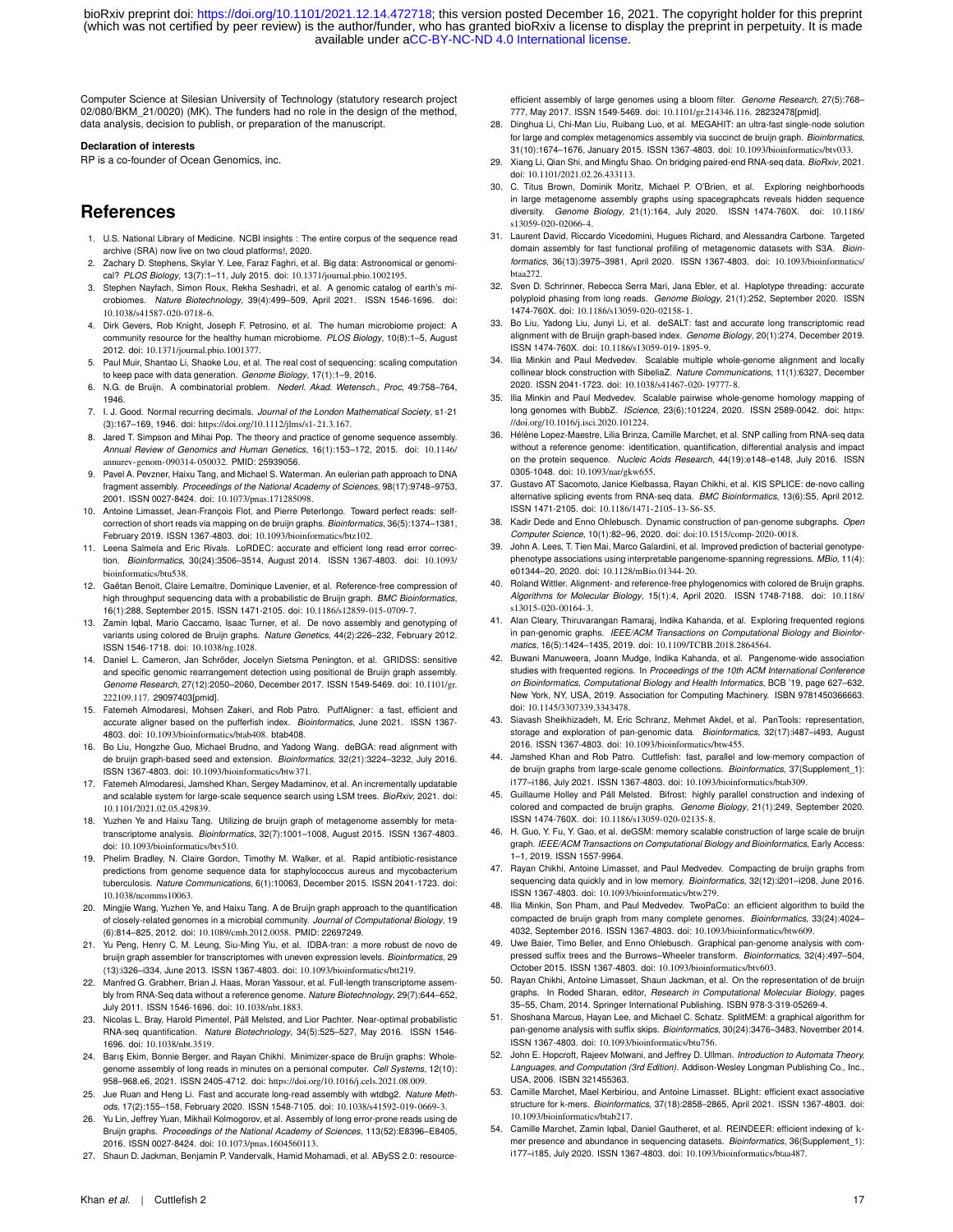Computer Science at Silesian University of Technology (statutory research project 02/080/BKM\_21/0020) (MK). The funders had no role in the design of the method, data analysis, decision to publish, or preparation of the manuscript.

#### **Declaration of interests**

RP is a co-founder of Ocean Genomics, inc.

# **References**

- <span id="page-16-0"></span>1. U.S. National Library of Medicine. NCBI insights : The entire corpus of the sequence read archive (SRA) now live on two cloud platforms!, 2020.
- <span id="page-16-1"></span>2. Zachary D. Stephens, Skylar Y. Lee, Faraz Faghri, et al. Big data: Astronomical or genomical? *PLOS Biology*, 13(7):1–11, July 2015. doi: 10.1371/journal.pbio.1002195.
- <span id="page-16-2"></span>3. Stephen Nayfach, Simon Roux, Rekha Seshadri, et al. A genomic catalog of earth's microbiomes. *Nature Biotechnology*, 39(4):499–509, April 2021. ISSN 1546-1696. doi: 10.1038/s41587-020-0718-6.
- <span id="page-16-3"></span>4. Dirk Gevers, Rob Knight, Joseph F. Petrosino, et al. The human microbiome project: A community resource for the healthy human microbiome. *PLOS Biology*, 10(8):1–5, August 2012. doi: 10.1371/journal.pbio.1001377.
- <span id="page-16-4"></span>5. Paul Muir, Shantao Li, Shaoke Lou, et al. The real cost of sequencing: scaling computation to keep pace with data generation. *Genome Biology*, 17(1):1–9, 2016.
- <span id="page-16-5"></span>6. N.G. de Bruijn. A combinatorial problem. *Nederl. Akad. Wetensch., Proc*, 49:758–764, 1946.
- <span id="page-16-6"></span>7. I. J. Good. Normal recurring decimals. *Journal of the London Mathematical Society*, s1-21 (3):167–169, 1946. doi: https://doi.org/10.1112/jlms/s1-21.3.167.
- <span id="page-16-7"></span>8. Jared T. Simpson and Mihai Pop. The theory and practice of genome sequence assembly. *Annual Review of Genomics and Human Genetics*, 16(1):153–172, 2015. doi: 10.1146/ annurev-genom-090314-050032. PMID: 25939056.
- <span id="page-16-8"></span>9. Pavel A. Pevzner, Haixu Tang, and Michael S. Waterman. An eulerian path approach to DNA fragment assembly. *Proceedings of the National Academy of Sciences*, 98(17):9748–9753, 2001. ISSN 0027-8424. doi: 10.1073/pnas.171285098.
- <span id="page-16-9"></span>10. Antoine Limasset, Jean-François Flot, and Pierre Peterlongo. Toward perfect reads: selfcorrection of short reads via mapping on de bruijn graphs. *Bioinformatics*, 36(5):1374–1381, February 2019. ISSN 1367-4803. doi: 10.1093/bioinformatics/btz102.
- <span id="page-16-10"></span>11. Leena Salmela and Eric Rivals. LoRDEC: accurate and efficient long read error correction. *Bioinformatics*, 30(24):3506–3514, August 2014. ISSN 1367-4803. doi: 10.1093/ bioinformatics/btu538.
- <span id="page-16-11"></span>12. Gaëtan Benoit, Claire Lemaitre, Dominique Lavenier, et al. Reference-free compression of high throughput sequencing data with a probabilistic de Bruijn graph. *BMC Bioinformatics*, 16(1):288, September 2015. ISSN 1471-2105. doi: 10.1186/s12859-015-0709-7.
- <span id="page-16-12"></span>13. Zamin Iqbal, Mario Caccamo, Isaac Turner, et al. De novo assembly and genotyping of variants using colored de Bruijn graphs. *Nature Genetics*, 44(2):226–232, February 2012. ISSN 1546-1718. doi: 10.1038/ng.1028.
- <span id="page-16-13"></span>14. Daniel L. Cameron, Jan Schröder, Jocelyn Sietsma Penington, et al. GRIDSS: sensitive and specific genomic rearrangement detection using positional de Bruijn graph assembly. *Genome Research*, 27(12):2050–2060, December 2017. ISSN 1549-5469. doi: 10.1101/gr. 222109.117. 29097403[pmid].
- <span id="page-16-14"></span>15. Fatemeh Almodaresi, Mohsen Zakeri, and Rob Patro. PuffAligner: a fast, efficient and accurate aligner based on the pufferfish index. *Bioinformatics*, June 2021. ISSN 1367- 4803. doi: 10.1093/bioinformatics/btab408. btab408.
- <span id="page-16-15"></span>16. Bo Liu, Hongzhe Guo, Michael Brudno, and Yadong Wang. deBGA: read alignment with de bruijn graph-based seed and extension. *Bioinformatics*, 32(21):3224–3232, July 2016. ISSN 1367-4803. doi: 10.1093/bioinformatics/btw371.
- <span id="page-16-16"></span>17. Fatemeh Almodaresi, Jamshed Khan, Sergey Madaminov, et al. An incrementally updatable and scalable system for large-scale sequence search using LSM trees. *BioRxiv*, 2021. doi: 10.1101/2021.02.05.429839.
- <span id="page-16-17"></span>18. Yuzhen Ye and Haixu Tang. Utilizing de bruijn graph of metagenome assembly for metatranscriptome analysis. *Bioinformatics*, 32(7):1001–1008, August 2015. ISSN 1367-4803. doi: 10.1093/bioinformatics/btv510.
- 19. Phelim Bradley, N. Claire Gordon, Timothy M. Walker, et al. Rapid antibiotic-resistance predictions from genome sequence data for staphylococcus aureus and mycobacterium tuberculosis. *Nature Communications*, 6(1):10063, December 2015. ISSN 2041-1723. doi: 10.1038/ncomms10063.
- <span id="page-16-18"></span>20. Mingjie Wang, Yuzhen Ye, and Haixu Tang. A de Bruijn graph approach to the quantification of closely-related genomes in a microbial community. *Journal of Computational Biology*, 19 (6):814–825, 2012. doi: 10.1089/cmb.2012.0058. PMID: 22697249.
- <span id="page-16-19"></span>21. Yu Peng, Henry C. M. Leung, Siu-Ming Yiu, et al. IDBA-tran: a more robust de novo de bruijn graph assembler for transcriptomes with uneven expression levels. *Bioinformatics*, 29 (13):i326–i334, June 2013. ISSN 1367-4803. doi: 10.1093/bioinformatics/btt219.
- <span id="page-16-20"></span>22. Manfred G. Grabherr, Brian J. Haas, Moran Yassour, et al. Full-length transcriptome assembly from RNA-Seq data without a reference genome. *Nature Biotechnology*, 29(7):644–652, July 2011. ISSN 1546-1696. doi: 10.1038/nbt.1883.
- <span id="page-16-21"></span>23. Nicolas L. Bray, Harold Pimentel, Páll Melsted, and Lior Pachter. Near-optimal probabilistic RNA-seq quantification. *Nature Biotechnology*, 34(5):525–527, May 2016. ISSN 1546- 1696. doi: 10.1038/nbt.3519.
- <span id="page-16-22"></span>24. Barış Ekim, Bonnie Berger, and Rayan Chikhi. Minimizer-space de Bruijn graphs: Wholegenome assembly of long reads in minutes on a personal computer. *Cell Systems*, 12(10): 958–968.e6, 2021. ISSN 2405-4712. doi: https://doi.org/10.1016/j.cels.2021.08.009.
- 25. Jue Ruan and Heng Li. Fast and accurate long-read assembly with wtdbg2. *Nature Methods*, 17(2):155–158, February 2020. ISSN 1548-7105. doi: 10.1038/s41592-019-0669-3.
- <span id="page-16-23"></span>26. Yu Lin, Jeffrey Yuan, Mikhail Kolmogorov, et al. Assembly of long error-prone reads using de Bruijn graphs. *Proceedings of the National Academy of Sciences*, 113(52):E8396–E8405, 2016. ISSN 0027-8424. doi: 10.1073/pnas.1604560113.
- <span id="page-16-24"></span>27. Shaun D. Jackman, Benjamin P. Vandervalk, Hamid Mohamadi, et al. ABySS 2.0: resource-

efficient assembly of large genomes using a bloom filter. *Genome Research*, 27(5):768– 777, May 2017. ISSN 1549-5469. doi: 10.1101/gr.214346.116. 28232478[pmid].

- <span id="page-16-25"></span>28. Dinghua Li, Chi-Man Liu, Ruibang Luo, et al. MEGAHIT: an ultra-fast single-node solution for large and complex metagenomics assembly via succinct de bruijn graph. *Bioinformatics*, 31(10):1674–1676, January 2015. ISSN 1367-4803. doi: 10.1093/bioinformatics/btv033.
- <span id="page-16-26"></span>29. Xiang Li, Qian Shi, and Mingfu Shao. On bridging paired-end RNA-seq data. *BioRxiv*, 2021. doi: 10.1101/2021.02.26.433113.
- <span id="page-16-35"></span>30. C. Titus Brown, Dominik Moritz, Michael P. O'Brien, et al. Exploring neighborhoods in large metagenome assembly graphs using spacegraphcats reveals hidden sequence diversity. *Genome Biology*, 21(1):164, July 2020. ISSN 1474-760X. doi: 10.1186/ s13059-020-02066-4.
- 31. Laurent David, Riccardo Vicedomini, Hugues Richard, and Alessandra Carbone. Targeted domain assembly for fast functional profiling of metagenomic datasets with S3A. *Bioinformatics*, 36(13):3975–3981, April 2020. ISSN 1367-4803. doi: 10.1093/bioinformatics/ btaa272.
- <span id="page-16-27"></span>32. Sven D. Schrinner, Rebecca Serra Mari, Jana Ebler, et al. Haplotype threading: accurate polyploid phasing from long reads. *Genome Biology*, 21(1):252, September 2020. ISSN 1474-760X. doi: 10.1186/s13059-020-02158-1.
- <span id="page-16-28"></span>33. Bo Liu, Yadong Liu, Junyi Li, et al. deSALT: fast and accurate long transcriptomic read alignment with de Bruijn graph-based index. *Genome Biology*, 20(1):274, December 2019. ISSN 1474-760X. doi: 10.1186/s13059-019-1895-9.
- <span id="page-16-29"></span>34. Ilia Minkin and Paul Medvedev. Scalable multiple whole-genome alignment and locally collinear block construction with SibeliaZ. *Nature Communications*, 11(1):6327, December 2020. ISSN 2041-1723. doi: 10.1038/s41467-020-19777-8.
- <span id="page-16-30"></span>35. Ilia Minkin and Paul Medvedev. Scalable pairwise whole-genome homology mapping of long genomes with BubbZ. *IScience*, 23(6):101224, 2020. ISSN 2589-0042. doi: https: //doi.org/10.1016/j.isci.2020.101224.
- <span id="page-16-31"></span>Hélène Lopez-Maestre, Lilia Brinza, Camille Marchet, et al. SNP calling from RNA-seq data without a reference genome: identification, quantification, differential analysis and impact on the protein sequence. *Nucleic Acids Research*, 44(19):e148–e148, July 2016. ISSN 0305-1048. doi: 10.1093/nar/gkw655.
- <span id="page-16-32"></span>Gustavo AT Sacomoto, Janice Kielbassa, Rayan Chikhi, et al. KIS SPLICE: de-novo calling alternative splicing events from RNA-seq data. *BMC Bioinformatics*, 13(6):S5, April 2012. ISSN 1471-2105. doi: 10.1186/1471-2105-13-S6-S5.
- <span id="page-16-33"></span>38. Kadir Dede and Enno Ohlebusch. Dynamic construction of pan-genome subgraphs. *Open Computer Science*, 10(1):82–96, 2020. doi: doi:10.1515/comp-2020-0018.
- John A. Lees, T. Tien Mai, Marco Galardini, et al. Improved prediction of bacterial genotypephenotype associations using interpretable pangenome-spanning regressions. *MBio*, 11(4): e01344–20, 2020. doi: 10.1128/mBio.01344-20.
- 40. Roland Wittler. Alignment- and reference-free phylogenomics with colored de Bruijn graphs. *Algorithms for Molecular Biology*, 15(1):4, April 2020. ISSN 1748-7188. doi: 10.1186/ s13015-020-00164-3.
- 41. Alan Cleary, Thiruvarangan Ramaraj, Indika Kahanda, et al. Exploring frequented regions in pan-genomic graphs. *IEEE/ACM Transactions on Computational Biology and Bioinformatics*, 16(5):1424–1435, 2019. doi: 10.1109/TCBB.2018.2864564.
- 42. Buwani Manuweera, Joann Mudge, Indika Kahanda, et al. Pangenome-wide association studies with frequented regions. In *Proceedings of the 10th ACM International Conference on Bioinformatics, Computational Biology and Health Informatics*, BCB '19, page 627–632, New York, NY, USA, 2019. Association for Computing Machinery. ISBN 9781450366663. doi: 10.1145/3307339.3343478.
- <span id="page-16-34"></span>43. Siavash Sheikhizadeh, M. Eric Schranz, Mehmet Akdel, et al. PanTools: representation, storage and exploration of pan-genomic data. *Bioinformatics*, 32(17):i487–i493, August 2016. ISSN 1367-4803. doi: 10.1093/bioinformatics/btw455.
- <span id="page-16-36"></span>44. Jamshed Khan and Rob Patro. Cuttlefish: fast, parallel and low-memory compaction of de bruijn graphs from large-scale genome collections. *Bioinformatics*, 37(Supplement\_1): i177–i186, July 2021. ISSN 1367-4803. doi: 10.1093/bioinformatics/btab309.
- <span id="page-16-38"></span>45. Guillaume Holley and Páll Melsted. Bifrost: highly parallel construction and indexing of colored and compacted de bruijn graphs. *Genome Biology*, 21(1):249, September 2020. ISSN 1474-760X. doi: 10.1186/s13059-020-02135-8.
- <span id="page-16-43"></span>46. H. Guo, Y. Fu, Y. Gao, et al. deGSM: memory scalable construction of large scale de bruijn graph. *IEEE/ACM Transactions on Computational Biology and Bioinformatics*, Early Access: 1–1, 2019. ISSN 1557-9964.
- <span id="page-16-39"></span>47. Rayan Chikhi, Antoine Limasset, and Paul Medvedev. Compacting de bruijn graphs from sequencing data quickly and in low memory. *Bioinformatics*, 32(12):i201–i208, June 2016. ISSN 1367-4803. doi: 10.1093/bioinformatics/btw279.
- <span id="page-16-44"></span>48. Ilia Minkin, Son Pham, and Paul Medvedev. TwoPaCo: an efficient algorithm to build the compacted de bruijn graph from many complete genomes. *Bioinformatics*, 33(24):4024– 4032, September 2016. ISSN 1367-4803. doi: 10.1093/bioinformatics/btw609.
- <span id="page-16-45"></span>49. Uwe Baier, Timo Beller, and Enno Ohlebusch. Graphical pan-genome analysis with compressed suffix trees and the Burrows–Wheeler transform. *Bioinformatics*, 32(4):497–504, October 2015. ISSN 1367-4803. doi: 10.1093/bioinformatics/btv603.
- <span id="page-16-46"></span>50. Rayan Chikhi, Antoine Limasset, Shaun Jackman, et al. On the representation of de bruijn graphs. In Roded Sharan, editor, *Research in Computational Molecular Biology*, pages 35–55, Cham, 2014. Springer International Publishing. ISBN 978-3-319-05269-4.
- <span id="page-16-37"></span>51. Shoshana Marcus, Hayan Lee, and Michael C. Schatz. SplitMEM: a graphical algorithm for pan-genome analysis with suffix skips. *Bioinformatics*, 30(24):3476–3483, November 2014. ISSN 1367-4803. doi: 10.1093/bioinformatics/btu756.
- <span id="page-16-40"></span>52. John E. Hopcroft, Rajeev Motwani, and Jeffrey D. Ullman. *Introduction to Automata Theory, Languages, and Computation (3rd Edition)*. Addison-Wesley Longman Publishing Co., Inc., USA, 2006. ISBN 321455363.
- <span id="page-16-41"></span>53. Camille Marchet, Mael Kerbiriou, and Antoine Limasset. BLight: efficient exact associative structure for k-mers. *Bioinformatics*, 37(18):2858–2865, April 2021. ISSN 1367-4803. doi: 10.1093/bioinformatics/btab217.
- <span id="page-16-42"></span>54. Camille Marchet, Zamin Iqbal, Daniel Gautheret, et al. REINDEER: efficient indexing of kmer presence and abundance in sequencing datasets. *Bioinformatics*, 36(Supplement\_1): i177–i185, July 2020. ISSN 1367-4803. doi: 10.1093/bioinformatics/btaa487.